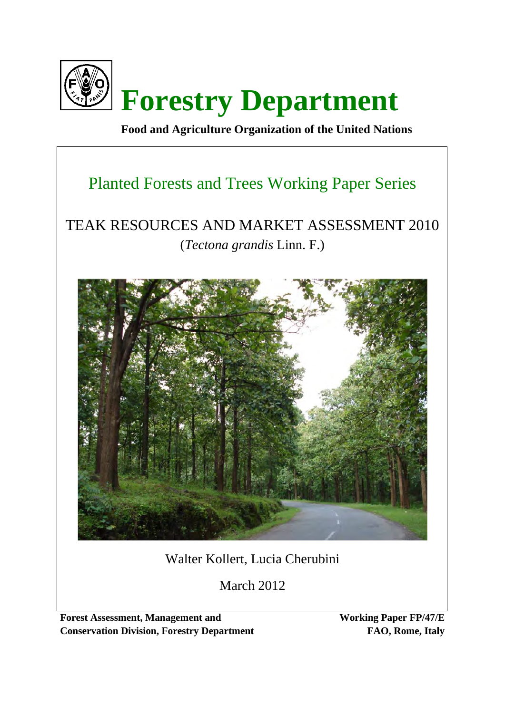

 **Food and Agriculture Organization of the United Nations** 

# Planted Forests and Trees Working Paper Series

# TEAK RESOURCES AND MARKET ASSESSMENT 2010 (*Tectona grandis* Linn. F.)



# Walter Kollert, Lucia Cherubini

March 2012

**Forest Assessment, Management and Conservation Division, Forestry Department** **Working Paper FP/47/E FAO, Rome, Italy**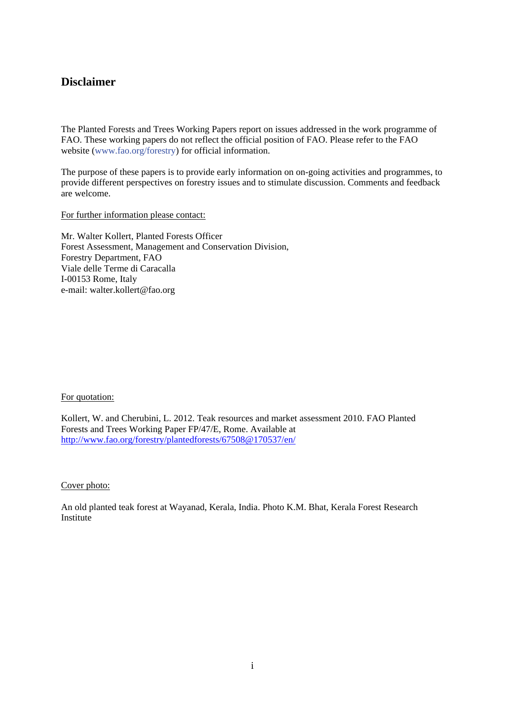# **Disclaimer**

The Planted Forests and Trees Working Papers report on issues addressed in the work programme of FAO. These working papers do not reflect the official position of FAO. Please refer to the FAO website (www.fao.org/forestry) for official information.

The purpose of these papers is to provide early information on on-going activities and programmes, to provide different perspectives on forestry issues and to stimulate discussion. Comments and feedback are welcome.

For further information please contact:

Mr. Walter Kollert, Planted Forests Officer Forest Assessment, Management and Conservation Division, Forestry Department, FAO Viale delle Terme di Caracalla I-00153 Rome, Italy e-mail: walter.kollert@fao.org

#### For quotation:

Kollert, W. and Cherubini, L. 2012. Teak resources and market assessment 2010. FAO Planted Forests and Trees Working Paper FP/47/E, Rome. Available at http://www.fao.org/forestry/plantedforests/67508@170537/en/

#### Cover photo:

An old planted teak forest at Wayanad, Kerala, India. Photo K.M. Bhat, Kerala Forest Research **Institute**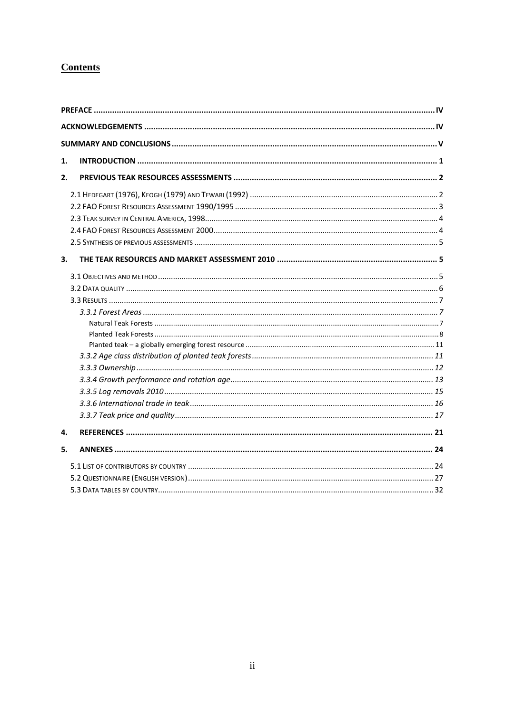# **Contents**

| 1. |  |
|----|--|
| 2. |  |
|    |  |
|    |  |
|    |  |
|    |  |
|    |  |
| 3. |  |
|    |  |
|    |  |
|    |  |
|    |  |
|    |  |
|    |  |
|    |  |
|    |  |
|    |  |
|    |  |
|    |  |
|    |  |
|    |  |
| 4. |  |
| 5. |  |
|    |  |
|    |  |
|    |  |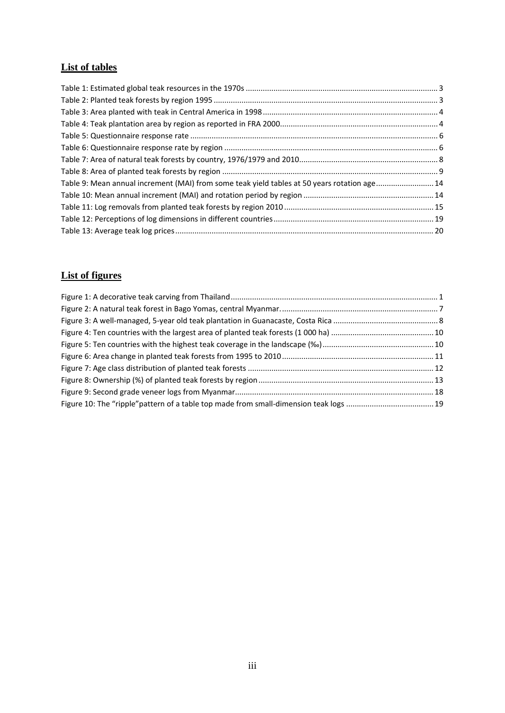# **List of tables**

| Table 9: Mean annual increment (MAI) from some teak yield tables at 50 years rotation age 14 |  |
|----------------------------------------------------------------------------------------------|--|
|                                                                                              |  |
|                                                                                              |  |
|                                                                                              |  |
|                                                                                              |  |
|                                                                                              |  |

# **List of figures**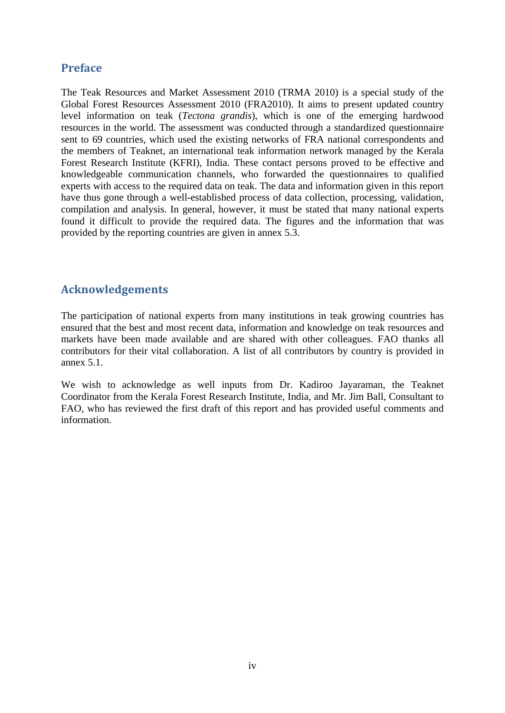# **Preface**

The Teak Resources and Market Assessment 2010 (TRMA 2010) is a special study of the Global Forest Resources Assessment 2010 (FRA2010). It aims to present updated country level information on teak (*Tectona grandis*), which is one of the emerging hardwood resources in the world. The assessment was conducted through a standardized questionnaire sent to 69 countries, which used the existing networks of FRA national correspondents and the members of Teaknet, an international teak information network managed by the Kerala Forest Research Institute (KFRI), India. These contact persons proved to be effective and knowledgeable communication channels, who forwarded the questionnaires to qualified experts with access to the required data on teak. The data and information given in this report have thus gone through a well-established process of data collection, processing, validation, compilation and analysis. In general, however, it must be stated that many national experts found it difficult to provide the required data. The figures and the information that was provided by the reporting countries are given in annex 5.3.

# **Acknowledgements**

The participation of national experts from many institutions in teak growing countries has ensured that the best and most recent data, information and knowledge on teak resources and markets have been made available and are shared with other colleagues. FAO thanks all contributors for their vital collaboration. A list of all contributors by country is provided in annex 5.1.

We wish to acknowledge as well inputs from Dr. Kadiroo Jayaraman, the Teaknet Coordinator from the Kerala Forest Research Institute, India, and Mr. Jim Ball, Consultant to FAO, who has reviewed the first draft of this report and has provided useful comments and information.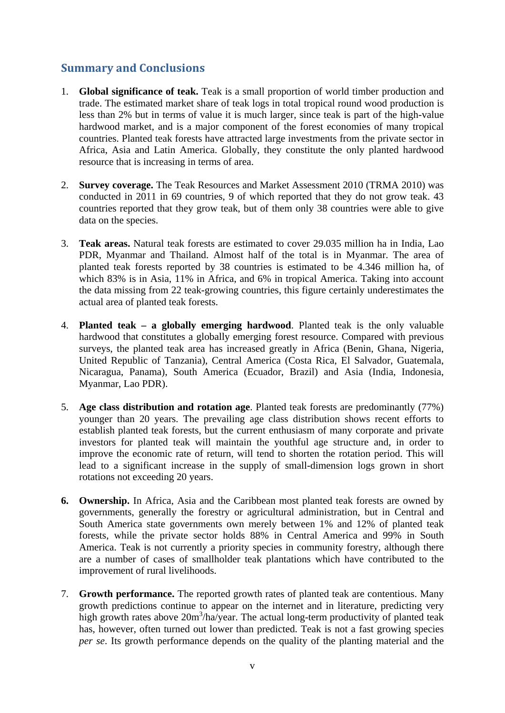# **Summary and Conclusions**

- 1. **Global significance of teak.** Teak is a small proportion of world timber production and trade. The estimated market share of teak logs in total tropical round wood production is less than 2% but in terms of value it is much larger, since teak is part of the high-value hardwood market, and is a major component of the forest economies of many tropical countries. Planted teak forests have attracted large investments from the private sector in Africa, Asia and Latin America. Globally, they constitute the only planted hardwood resource that is increasing in terms of area.
- 2. **Survey coverage.** The Teak Resources and Market Assessment 2010 (TRMA 2010) was conducted in 2011 in 69 countries, 9 of which reported that they do not grow teak. 43 countries reported that they grow teak, but of them only 38 countries were able to give data on the species.
- 3. **Teak areas.** Natural teak forests are estimated to cover 29.035 million ha in India, Lao PDR, Myanmar and Thailand. Almost half of the total is in Myanmar. The area of planted teak forests reported by 38 countries is estimated to be 4.346 million ha, of which 83% is in Asia, 11% in Africa, and 6% in tropical America. Taking into account the data missing from 22 teak-growing countries, this figure certainly underestimates the actual area of planted teak forests.
- 4. **Planted teak a globally emerging hardwood**. Planted teak is the only valuable hardwood that constitutes a globally emerging forest resource. Compared with previous surveys, the planted teak area has increased greatly in Africa (Benin, Ghana, Nigeria, United Republic of Tanzania), Central America (Costa Rica, El Salvador, Guatemala, Nicaragua, Panama), South America (Ecuador, Brazil) and Asia (India, Indonesia, Myanmar, Lao PDR).
- 5. **Age class distribution and rotation age**. Planted teak forests are predominantly (77%) younger than 20 years. The prevailing age class distribution shows recent efforts to establish planted teak forests, but the current enthusiasm of many corporate and private investors for planted teak will maintain the youthful age structure and, in order to improve the economic rate of return, will tend to shorten the rotation period. This will lead to a significant increase in the supply of small-dimension logs grown in short rotations not exceeding 20 years.
- **6. Ownership.** In Africa, Asia and the Caribbean most planted teak forests are owned by governments, generally the forestry or agricultural administration, but in Central and South America state governments own merely between 1% and 12% of planted teak forests, while the private sector holds 88% in Central America and 99% in South America. Teak is not currently a priority species in community forestry, although there are a number of cases of smallholder teak plantations which have contributed to the improvement of rural livelihoods.
- 7. **Growth performance.** The reported growth rates of planted teak are contentious. Many growth predictions continue to appear on the internet and in literature, predicting very high growth rates above 20m<sup>3</sup>/ha/year. The actual long-term productivity of planted teak has, however, often turned out lower than predicted. Teak is not a fast growing species *per se*. Its growth performance depends on the quality of the planting material and the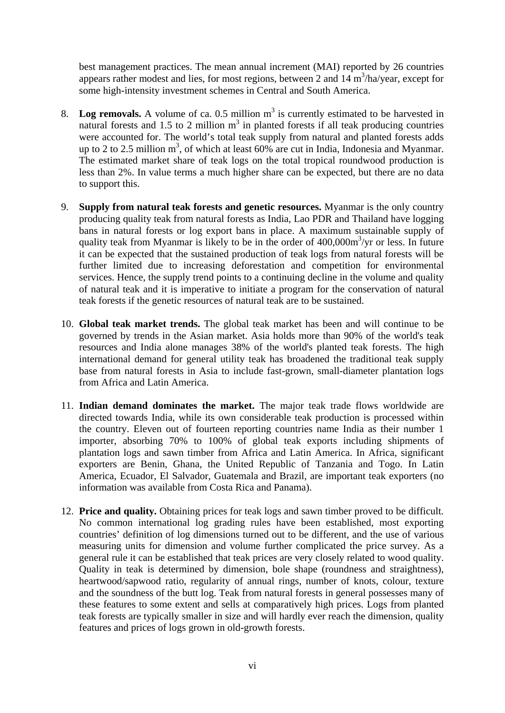best management practices. The mean annual increment (MAI) reported by 26 countries appears rather modest and lies, for most regions, between 2 and  $14 \text{ m}^3\text{/ha/year}$ , except for some high-intensity investment schemes in Central and South America.

- 8. Log removals. A volume of ca.  $0.5$  million  $m<sup>3</sup>$  is currently estimated to be harvested in natural forests and 1.5 to 2 million  $m<sup>3</sup>$  in planted forests if all teak producing countries were accounted for. The world's total teak supply from natural and planted forests adds up to 2 to 2.5 million  $m^3$ , of which at least 60% are cut in India, Indonesia and Myanmar. The estimated market share of teak logs on the total tropical roundwood production is less than 2%. In value terms a much higher share can be expected, but there are no data to support this.
- 9. **Supply from natural teak forests and genetic resources.** Myanmar is the only country producing quality teak from natural forests as India, Lao PDR and Thailand have logging bans in natural forests or log export bans in place. A maximum sustainable supply of quality teak from Myanmar is likely to be in the order of  $400,000m^3$ /yr or less. In future it can be expected that the sustained production of teak logs from natural forests will be further limited due to increasing deforestation and competition for environmental services. Hence, the supply trend points to a continuing decline in the volume and quality of natural teak and it is imperative to initiate a program for the conservation of natural teak forests if the genetic resources of natural teak are to be sustained.
- 10. **Global teak market trends.** The global teak market has been and will continue to be governed by trends in the Asian market. Asia holds more than 90% of the world's teak resources and India alone manages 38% of the world's planted teak forests. The high international demand for general utility teak has broadened the traditional teak supply base from natural forests in Asia to include fast-grown, small-diameter plantation logs from Africa and Latin America.
- 11. **Indian demand dominates the market.** The major teak trade flows worldwide are directed towards India, while its own considerable teak production is processed within the country. Eleven out of fourteen reporting countries name India as their number 1 importer, absorbing 70% to 100% of global teak exports including shipments of plantation logs and sawn timber from Africa and Latin America. In Africa, significant exporters are Benin, Ghana, the United Republic of Tanzania and Togo. In Latin America, Ecuador, El Salvador, Guatemala and Brazil, are important teak exporters (no information was available from Costa Rica and Panama).
- 12. **Price and quality.** Obtaining prices for teak logs and sawn timber proved to be difficult. No common international log grading rules have been established, most exporting countries' definition of log dimensions turned out to be different, and the use of various measuring units for dimension and volume further complicated the price survey. As a general rule it can be established that teak prices are very closely related to wood quality. Quality in teak is determined by dimension, bole shape (roundness and straightness), heartwood/sapwood ratio, regularity of annual rings, number of knots, colour, texture and the soundness of the butt log. Teak from natural forests in general possesses many of these features to some extent and sells at comparatively high prices. Logs from planted teak forests are typically smaller in size and will hardly ever reach the dimension, quality features and prices of logs grown in old-growth forests.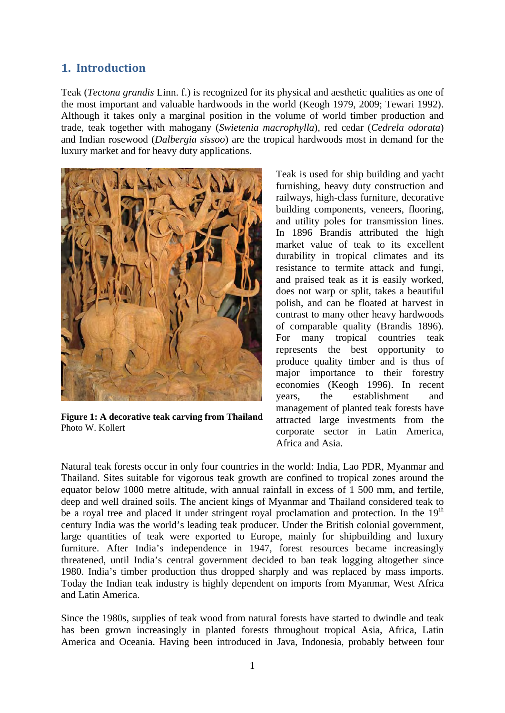# **1. Introduction**

Teak (*Tectona grandis* Linn. f.) is recognized for its physical and aesthetic qualities as one of the most important and valuable hardwoods in the world (Keogh 1979, 2009; Tewari 1992). Although it takes only a marginal position in the volume of world timber production and trade, teak together with mahogany (*Swietenia macrophylla*), red cedar (*Cedrela odorata*) and Indian rosewood (*Dalbergia sissoo*) are the tropical hardwoods most in demand for the luxury market and for heavy duty applications.



**Figure 1: A decorative teak carving from Thailand**  Photo W. Kollert

Teak is used for ship building and yacht furnishing, heavy duty construction and railways, high-class furniture, decorative building components, veneers, flooring, and utility poles for transmission lines. In 1896 Brandis attributed the high market value of teak to its excellent durability in tropical climates and its resistance to termite attack and fungi, and praised teak as it is easily worked, does not warp or split, takes a beautiful polish, and can be floated at harvest in contrast to many other heavy hardwoods of comparable quality (Brandis 1896). For many tropical countries teak represents the best opportunity to produce quality timber and is thus of major importance to their forestry economies (Keogh 1996). In recent years, the establishment and management of planted teak forests have attracted large investments from the corporate sector in Latin America, Africa and Asia.

Natural teak forests occur in only four countries in the world: India, Lao PDR, Myanmar and Thailand. Sites suitable for vigorous teak growth are confined to tropical zones around the equator below 1000 metre altitude, with annual rainfall in excess of 1 500 mm, and fertile, deep and well drained soils. The ancient kings of Myanmar and Thailand considered teak to be a royal tree and placed it under stringent royal proclamation and protection. In the  $19<sup>th</sup>$ century India was the world's leading teak producer. Under the British colonial government, large quantities of teak were exported to Europe, mainly for shipbuilding and luxury furniture. After India's independence in 1947, forest resources became increasingly threatened, until India's central government decided to ban teak logging altogether since 1980. India's timber production thus dropped sharply and was replaced by mass imports. Today the Indian teak industry is highly dependent on imports from Myanmar, West Africa and Latin America.

Since the 1980s, supplies of teak wood from natural forests have started to dwindle and teak has been grown increasingly in planted forests throughout tropical Asia, Africa, Latin America and Oceania. Having been introduced in Java, Indonesia, probably between four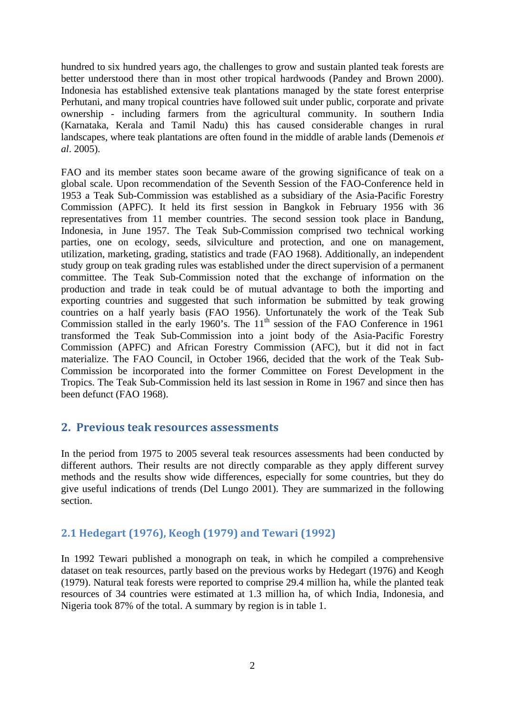hundred to six hundred years ago, the challenges to grow and sustain planted teak forests are better understood there than in most other tropical hardwoods (Pandey and Brown 2000). Indonesia has established extensive teak plantations managed by the state forest enterprise Perhutani, and many tropical countries have followed suit under public, corporate and private ownership - including farmers from the agricultural community. In southern India (Karnataka, Kerala and Tamil Nadu) this has caused considerable changes in rural landscapes, where teak plantations are often found in the middle of arable lands (Demenois *et al*. 2005).

FAO and its member states soon became aware of the growing significance of teak on a global scale. Upon recommendation of the Seventh Session of the FAO-Conference held in 1953 a Teak Sub-Commission was established as a subsidiary of the Asia-Pacific Forestry Commission (APFC). It held its first session in Bangkok in February 1956 with 36 representatives from 11 member countries. The second session took place in Bandung, Indonesia, in June 1957. The Teak Sub-Commission comprised two technical working parties, one on ecology, seeds, silviculture and protection, and one on management, utilization, marketing, grading, statistics and trade (FAO 1968). Additionally, an independent study group on teak grading rules was established under the direct supervision of a permanent committee. The Teak Sub-Commission noted that the exchange of information on the production and trade in teak could be of mutual advantage to both the importing and exporting countries and suggested that such information be submitted by teak growing countries on a half yearly basis (FAO 1956). Unfortunately the work of the Teak Sub Commission stalled in the early 1960's. The 11<sup>th</sup> session of the FAO Conference in 1961 transformed the Teak Sub-Commission into a joint body of the Asia-Pacific Forestry Commission (APFC) and African Forestry Commission (AFC), but it did not in fact materialize. The FAO Council, in October 1966, decided that the work of the Teak Sub-Commission be incorporated into the former Committee on Forest Development in the Tropics. The Teak Sub-Commission held its last session in Rome in 1967 and since then has been defunct (FAO 1968).

# **2. Previous teak resources assessments**

In the period from 1975 to 2005 several teak resources assessments had been conducted by different authors. Their results are not directly comparable as they apply different survey methods and the results show wide differences, especially for some countries, but they do give useful indications of trends (Del Lungo 2001). They are summarized in the following section.

# **2.1 Hedegart (1976), Keogh (1979) and Tewari (1992)**

In 1992 Tewari published a monograph on teak, in which he compiled a comprehensive dataset on teak resources, partly based on the previous works by Hedegart (1976) and Keogh (1979). Natural teak forests were reported to comprise 29.4 million ha, while the planted teak resources of 34 countries were estimated at 1.3 million ha, of which India, Indonesia, and Nigeria took 87% of the total. A summary by region is in table 1.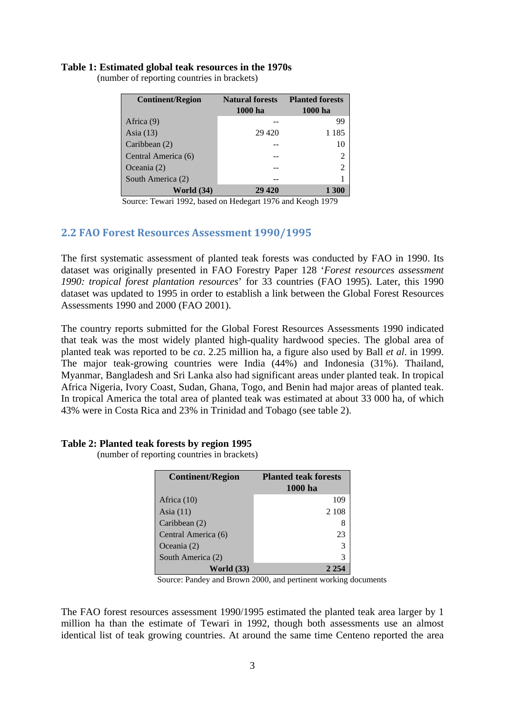#### **Table 1: Estimated global teak resources in the 1970s**

| <b>Continent/Region</b> | <b>Natural forests</b><br>1000 ha | <b>Planted forests</b><br>1000 ha |
|-------------------------|-----------------------------------|-----------------------------------|
| Africa (9)              |                                   | 99                                |
| Asia $(13)$             | 29 4 20                           | 1 1 8 5                           |
| Caribbean (2)           |                                   | 10                                |
| Central America (6)     |                                   | 2                                 |
| Oceania $(2)$           |                                   | 2                                 |
| South America (2)       |                                   |                                   |
| <b>World</b> (34)       | 29 420                            | 1 300                             |

(number of reporting countries in brackets)

Source: Tewari 1992, based on Hedegart 1976 and Keogh 1979

### **2.2 FAO Forest Resources Assessment 1990/1995**

The first systematic assessment of planted teak forests was conducted by FAO in 1990. Its dataset was originally presented in FAO Forestry Paper 128 '*Forest resources assessment 1990: tropical forest plantation resources*' for 33 countries (FAO 1995). Later, this 1990 dataset was updated to 1995 in order to establish a link between the Global Forest Resources Assessments 1990 and 2000 (FAO 2001).

The country reports submitted for the Global Forest Resources Assessments 1990 indicated that teak was the most widely planted high-quality hardwood species. The global area of planted teak was reported to be *ca*. 2.25 million ha, a figure also used by Ball *et al*. in 1999. The major teak-growing countries were India (44%) and Indonesia (31%). Thailand, Myanmar, Bangladesh and Sri Lanka also had significant areas under planted teak. In tropical Africa Nigeria, Ivory Coast, Sudan, Ghana, Togo, and Benin had major areas of planted teak. In tropical America the total area of planted teak was estimated at about 33 000 ha, of which 43% were in Costa Rica and 23% in Trinidad and Tobago (see table 2).

#### **Table 2: Planted teak forests by region 1995**

(number of reporting countries in brackets)

| <b>Continent/Region</b> | <b>Planted teak forests</b><br>1000 ha |
|-------------------------|----------------------------------------|
| Africa $(10)$           | 109                                    |
| Asia $(11)$             | 2 1 0 8                                |
| Caribbean (2)           | 8                                      |
| Central America (6)     | 23                                     |
| Oceania $(2)$           | 3                                      |
| South America (2)       | 3                                      |
| <b>World</b> (33)       |                                        |

Source: Pandey and Brown 2000, and pertinent working documents

The FAO forest resources assessment 1990/1995 estimated the planted teak area larger by 1 million ha than the estimate of Tewari in 1992, though both assessments use an almost identical list of teak growing countries. At around the same time Centeno reported the area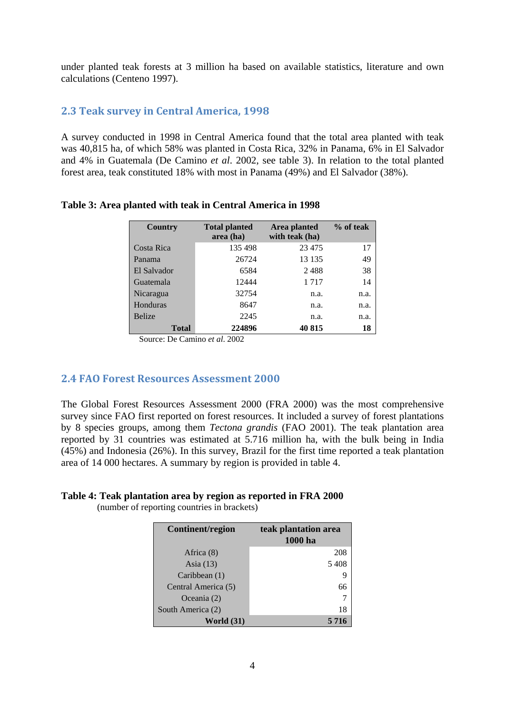under planted teak forests at 3 million ha based on available statistics, literature and own calculations (Centeno 1997).

# **2.3 Teak survey in Central America, 1998**

A survey conducted in 1998 in Central America found that the total area planted with teak was 40,815 ha, of which 58% was planted in Costa Rica, 32% in Panama, 6% in El Salvador and 4% in Guatemala (De Camino *et al*. 2002, see table 3). In relation to the total planted forest area, teak constituted 18% with most in Panama (49%) and El Salvador (38%).

| Country       | <b>Total planted</b><br>area (ha) | Area planted<br>with teak (ha) | % of teak |
|---------------|-----------------------------------|--------------------------------|-----------|
| Costa Rica    | 135 498                           | 23 4 75                        | 17        |
| Panama        | 26724                             | 13 135                         | 49        |
| El Salvador   | 6584                              | 2488                           | 38        |
| Guatemala     | 12444                             | 1 7 1 7                        | 14        |
| Nicaragua     | 32754                             | n.a.                           | n.a.      |
| Honduras      | 8647                              | n.a.                           | n.a.      |
| <b>Belize</b> | 2245                              | n.a.                           | n.a.      |
| Total         | 224896                            | 40 815                         | 18        |

## **Table 3: Area planted with teak in Central America in 1998**

Source: De Camino *et al*. 2002

## **2.4 FAO Forest Resources Assessment 2000**

The Global Forest Resources Assessment 2000 (FRA 2000) was the most comprehensive survey since FAO first reported on forest resources. It included a survey of forest plantations by 8 species groups, among them *Tectona grandis* (FAO 2001). The teak plantation area reported by 31 countries was estimated at 5.716 million ha, with the bulk being in India (45%) and Indonesia (26%). In this survey, Brazil for the first time reported a teak plantation area of 14 000 hectares. A summary by region is provided in table 4.

## **Table 4: Teak plantation area by region as reported in FRA 2000**

(number of reporting countries in brackets)

| Continent/region    | teak plantation area<br>1000 ha |
|---------------------|---------------------------------|
| Africa (8)          | 208                             |
| Asia $(13)$         | 5408                            |
| Caribbean (1)       |                                 |
| Central America (5) | 66                              |
| Oceania (2)         |                                 |
| South America (2)   | 18                              |
| World $(31)$        | 5 7 1 6                         |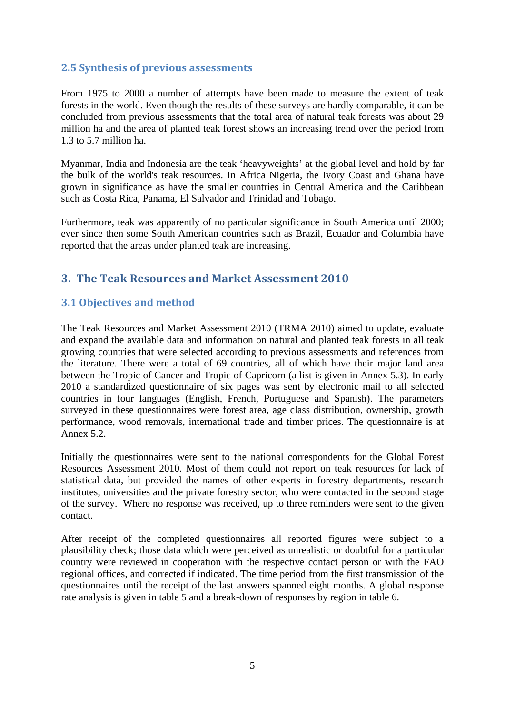# **2.5 Synthesis of previous assessments**

From 1975 to 2000 a number of attempts have been made to measure the extent of teak forests in the world. Even though the results of these surveys are hardly comparable, it can be concluded from previous assessments that the total area of natural teak forests was about 29 million ha and the area of planted teak forest shows an increasing trend over the period from 1.3 to 5.7 million ha.

Myanmar, India and Indonesia are the teak 'heavyweights' at the global level and hold by far the bulk of the world's teak resources. In Africa Nigeria, the Ivory Coast and Ghana have grown in significance as have the smaller countries in Central America and the Caribbean such as Costa Rica, Panama, El Salvador and Trinidad and Tobago.

Furthermore, teak was apparently of no particular significance in South America until 2000; ever since then some South American countries such as Brazil, Ecuador and Columbia have reported that the areas under planted teak are increasing.

# **3. The Teak Resources and Market Assessment 2010**

# **3.1 Objectives and method**

The Teak Resources and Market Assessment 2010 (TRMA 2010) aimed to update, evaluate and expand the available data and information on natural and planted teak forests in all teak growing countries that were selected according to previous assessments and references from the literature. There were a total of 69 countries, all of which have their major land area between the Tropic of Cancer and Tropic of Capricorn (a list is given in Annex 5.3). In early 2010 a standardized questionnaire of six pages was sent by electronic mail to all selected countries in four languages (English, French, Portuguese and Spanish). The parameters surveyed in these questionnaires were forest area, age class distribution, ownership, growth performance, wood removals, international trade and timber prices. The questionnaire is at Annex 5.2.

Initially the questionnaires were sent to the national correspondents for the Global Forest Resources Assessment 2010. Most of them could not report on teak resources for lack of statistical data, but provided the names of other experts in forestry departments, research institutes, universities and the private forestry sector, who were contacted in the second stage of the survey. Where no response was received, up to three reminders were sent to the given contact.

After receipt of the completed questionnaires all reported figures were subject to a plausibility check; those data which were perceived as unrealistic or doubtful for a particular country were reviewed in cooperation with the respective contact person or with the FAO regional offices, and corrected if indicated. The time period from the first transmission of the questionnaires until the receipt of the last answers spanned eight months. A global response rate analysis is given in table 5 and a break-down of responses by region in table 6.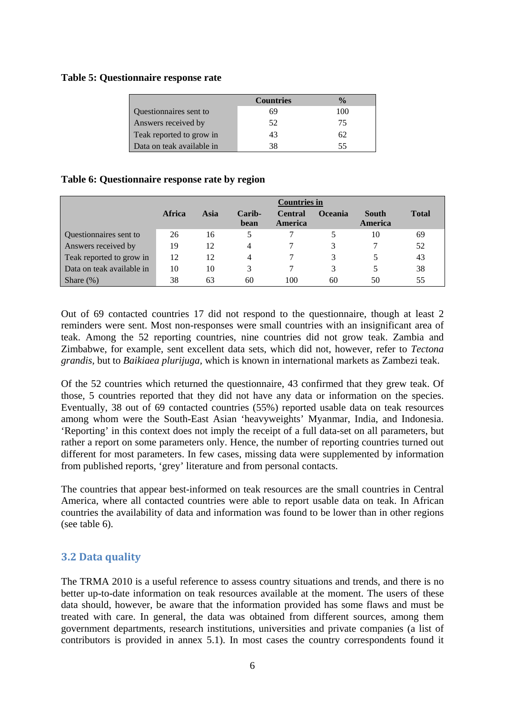### **Table 5: Questionnaire response rate**

|                           | <b>Countries</b> | $\frac{0}{2}$ |
|---------------------------|------------------|---------------|
| Questionnaires sent to    | 69               | 100           |
| Answers received by       | 52               | 75            |
| Teak reported to grow in  | 43               | 62            |
| Data on teak available in | 38               | 55            |

## **Table 6: Questionnaire response rate by region**

|                           | <b>Countries in</b> |      |                |                           |         |                         |              |
|---------------------------|---------------------|------|----------------|---------------------------|---------|-------------------------|--------------|
|                           | Africa              | Asia | Carib-<br>bean | <b>Central</b><br>America | Oceania | <b>South</b><br>America | <b>Total</b> |
| Questionnaires sent to    | 26                  | 16   |                |                           |         | 10                      | 69           |
| Answers received by       | 19                  | 12   | 4              |                           |         |                         | 52           |
| Teak reported to grow in  | 12                  | 12   | 4              |                           |         |                         | 43           |
| Data on teak available in | 10                  | 10   | 3              |                           |         |                         | 38           |
| Share $(\%)$              | 38                  | 63   | 60             | 100                       | 60      | 50                      | 55           |

Out of 69 contacted countries 17 did not respond to the questionnaire, though at least 2 reminders were sent. Most non-responses were small countries with an insignificant area of teak. Among the 52 reporting countries, nine countries did not grow teak. Zambia and Zimbabwe, for example, sent excellent data sets, which did not, however, refer to *Tectona grandis,* but to *Baikiaea plurijuga,* which is known in international markets as Zambezi teak.

Of the 52 countries which returned the questionnaire, 43 confirmed that they grew teak. Of those, 5 countries reported that they did not have any data or information on the species. Eventually, 38 out of 69 contacted countries (55%) reported usable data on teak resources among whom were the South-East Asian 'heavyweights' Myanmar, India, and Indonesia. 'Reporting' in this context does not imply the receipt of a full data-set on all parameters, but rather a report on some parameters only. Hence, the number of reporting countries turned out different for most parameters. In few cases, missing data were supplemented by information from published reports, 'grey' literature and from personal contacts.

The countries that appear best-informed on teak resources are the small countries in Central America, where all contacted countries were able to report usable data on teak. In African countries the availability of data and information was found to be lower than in other regions (see table 6).

## **3.2 Data quality**

The TRMA 2010 is a useful reference to assess country situations and trends, and there is no better up-to-date information on teak resources available at the moment. The users of these data should, however, be aware that the information provided has some flaws and must be treated with care. In general, the data was obtained from different sources, among them government departments, research institutions, universities and private companies (a list of contributors is provided in annex 5.1). In most cases the country correspondents found it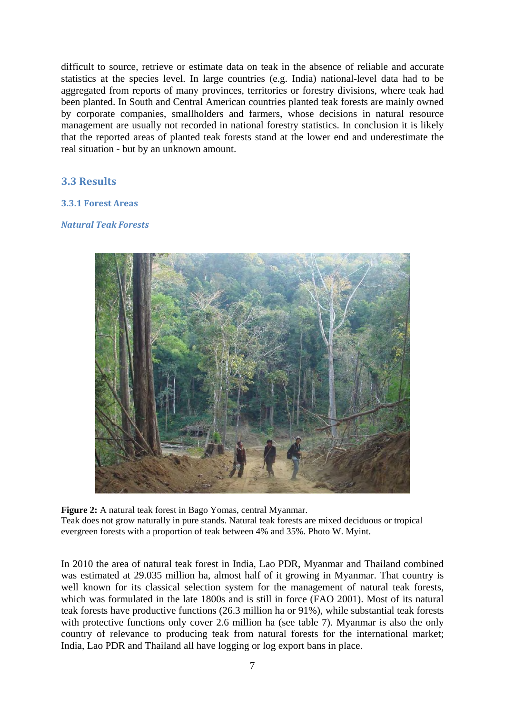difficult to source, retrieve or estimate data on teak in the absence of reliable and accurate statistics at the species level. In large countries (e.g. India) national-level data had to be aggregated from reports of many provinces, territories or forestry divisions, where teak had been planted. In South and Central American countries planted teak forests are mainly owned by corporate companies, smallholders and farmers, whose decisions in natural resource management are usually not recorded in national forestry statistics. In conclusion it is likely that the reported areas of planted teak forests stand at the lower end and underestimate the real situation - but by an unknown amount.

## **3.3 Results**

## **3.3.1 Forest Areas**

## *Natural Teak Forests*



**Figure 2:** A natural teak forest in Bago Yomas, central Myanmar. Teak does not grow naturally in pure stands. Natural teak forests are mixed deciduous or tropical evergreen forests with a proportion of teak between 4% and 35%. Photo W. Myint.

In 2010 the area of natural teak forest in India, Lao PDR, Myanmar and Thailand combined was estimated at 29.035 million ha, almost half of it growing in Myanmar. That country is well known for its classical selection system for the management of natural teak forests, which was formulated in the late 1800s and is still in force (FAO 2001). Most of its natural teak forests have productive functions (26.3 million ha or 91%), while substantial teak forests with protective functions only cover 2.6 million ha (see table 7). Myanmar is also the only country of relevance to producing teak from natural forests for the international market; India, Lao PDR and Thailand all have logging or log export bans in place.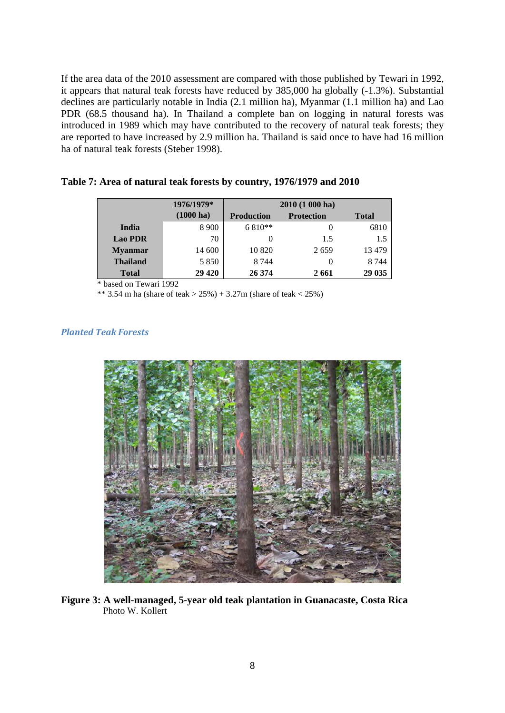If the area data of the 2010 assessment are compared with those published by Tewari in 1992, it appears that natural teak forests have reduced by 385,000 ha globally (-1.3%). Substantial declines are particularly notable in India (2.1 million ha), Myanmar (1.1 million ha) and Lao PDR (68.5 thousand ha). In Thailand a complete ban on logging in natural forests was introduced in 1989 which may have contributed to the recovery of natural teak forests; they are reported to have increased by 2.9 million ha. Thailand is said once to have had 16 million ha of natural teak forests (Steber 1998).

**Table 7: Area of natural teak forests by country, 1976/1979 and 2010** 

|                 | 1976/1979*          | $2010(1000)$ ha)                       |      |              |
|-----------------|---------------------|----------------------------------------|------|--------------|
|                 | $(1000 \text{ ha})$ | <b>Protection</b><br><b>Production</b> |      | <b>Total</b> |
| <b>India</b>    | 8 9 0 0             | $6810**$                               |      | 6810         |
| <b>Lao PDR</b>  | 70                  |                                        | 1.5  | 1.5          |
| <b>Myanmar</b>  | 14 600              | 10 8 20                                | 2659 | 13 4 79      |
| <b>Thailand</b> | 5 8 5 0             | 8 7 4 4                                |      | 8 7 4 4      |
| <b>Total</b>    | 29 4 20             | 26 374                                 | 2661 | 29 035       |

based on Tewari 1992

\*\* 3.54 m ha (share of teak >  $25\%$ ) + 3.27m (share of teak < 25%)

## *Planted Teak Forests*



**Figure 3: A well-managed, 5-year old teak plantation in Guanacaste, Costa Rica**  Photo W. Kollert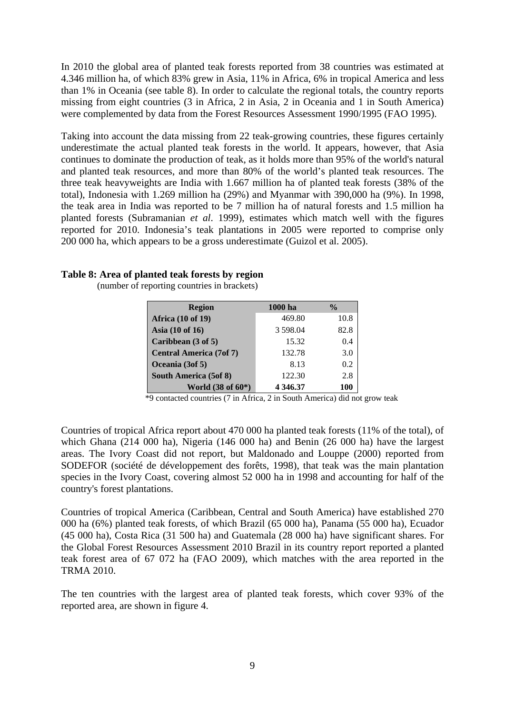In 2010 the global area of planted teak forests reported from 38 countries was estimated at 4.346 million ha, of which 83% grew in Asia, 11% in Africa, 6% in tropical America and less than 1% in Oceania (see table 8). In order to calculate the regional totals, the country reports missing from eight countries (3 in Africa, 2 in Asia, 2 in Oceania and 1 in South America) were complemented by data from the Forest Resources Assessment 1990/1995 (FAO 1995).

Taking into account the data missing from 22 teak-growing countries, these figures certainly underestimate the actual planted teak forests in the world. It appears, however, that Asia continues to dominate the production of teak, as it holds more than 95% of the world's natural and planted teak resources, and more than 80% of the world's planted teak resources. The three teak heavyweights are India with 1.667 million ha of planted teak forests (38% of the total), Indonesia with 1.269 million ha (29%) and Myanmar with 390,000 ha (9%). In 1998, the teak area in India was reported to be 7 million ha of natural forests and 1.5 million ha planted forests (Subramanian *et al*. 1999), estimates which match well with the figures reported for 2010. Indonesia's teak plantations in 2005 were reported to comprise only 200 000 ha, which appears to be a gross underestimate (Guizol et al. 2005).

### **Table 8: Area of planted teak forests by region**

(number of reporting countries in brackets)

| <b>Region</b>                  | 1000 ha       | $\frac{0}{0}$ |
|--------------------------------|---------------|---------------|
| <b>Africa</b> (10 of 19)       | 469.80        | 10.8          |
| Asia $(10$ of $16)$            | 3 598.04      | 82.8          |
| Caribbean (3 of 5)             | 15.32         | 0.4           |
| <b>Central America (7of 7)</b> | 132.78        | 3.0           |
| Oceania (3of 5)                | 8.13          | 0.2           |
| South America (5of 8)          | 122.30        | 2.8           |
| World (38 of 60*)              | 4 3 4 6 . 3 7 | 100           |

\*9 contacted countries (7 in Africa, 2 in South America) did not grow teak

Countries of tropical Africa report about 470 000 ha planted teak forests (11% of the total), of which Ghana (214 000 ha), Nigeria (146 000 ha) and Benin (26 000 ha) have the largest areas. The Ivory Coast did not report, but Maldonado and Louppe (2000) reported from SODEFOR (société de développement des forêts, 1998), that teak was the main plantation species in the Ivory Coast, covering almost 52 000 ha in 1998 and accounting for half of the country's forest plantations.

Countries of tropical America (Caribbean, Central and South America) have established 270 000 ha (6%) planted teak forests, of which Brazil (65 000 ha), Panama (55 000 ha), Ecuador (45 000 ha), Costa Rica (31 500 ha) and Guatemala (28 000 ha) have significant shares. For the Global Forest Resources Assessment 2010 Brazil in its country report reported a planted teak forest area of 67 072 ha (FAO 2009), which matches with the area reported in the TRMA 2010.

The ten countries with the largest area of planted teak forests, which cover 93% of the reported area, are shown in figure 4.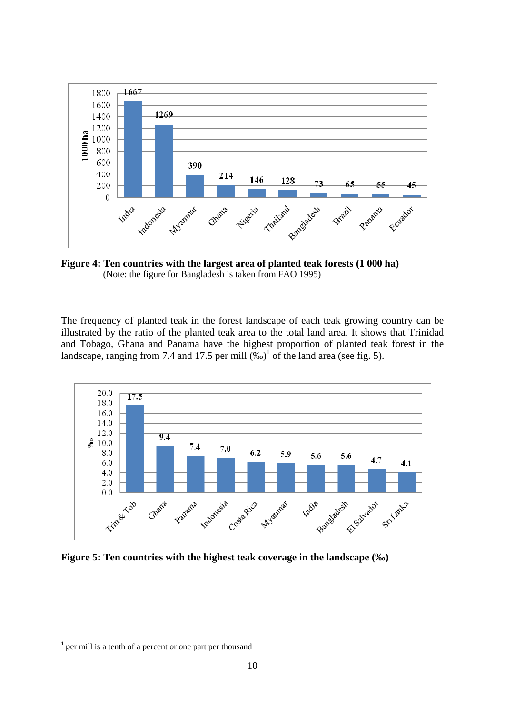

**Figure 4: Ten countries with the largest area of planted teak forests (1 000 ha)**  (Note: the figure for Bangladesh is taken from FAO 1995)

The frequency of planted teak in the forest landscape of each teak growing country can be illustrated by the ratio of the planted teak area to the total land area. It shows that Trinidad and Tobago, Ghana and Panama have the highest proportion of planted teak forest in the landscape, ranging from 7.4 and 17.5 per mill  $(\%_0)^1$  of the land area (see fig. 5).



**Figure 5: Ten countries with the highest teak coverage in the landscape (‰)** 

 $<sup>1</sup>$  per mill is a tenth of a percent or one part per thousand</sup>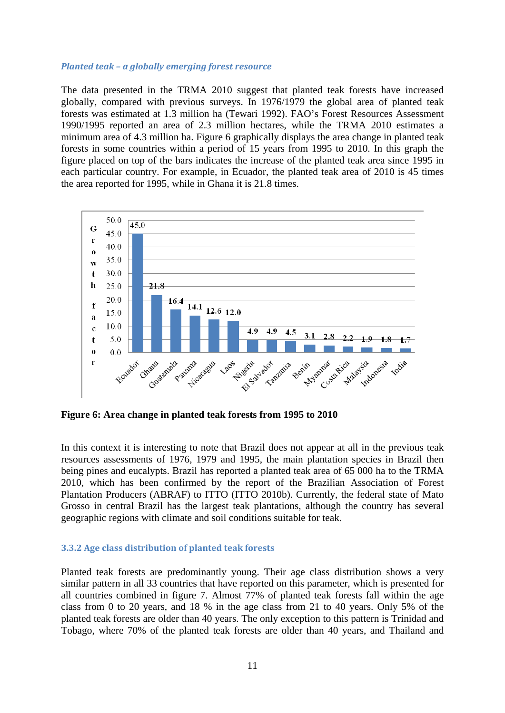#### *Planted teak – a globally emerging forest resource*

The data presented in the TRMA 2010 suggest that planted teak forests have increased globally, compared with previous surveys. In 1976/1979 the global area of planted teak forests was estimated at 1.3 million ha (Tewari 1992). FAO's Forest Resources Assessment 1990/1995 reported an area of 2.3 million hectares, while the TRMA 2010 estimates a minimum area of 4.3 million ha. Figure 6 graphically displays the area change in planted teak forests in some countries within a period of 15 years from 1995 to 2010. In this graph the figure placed on top of the bars indicates the increase of the planted teak area since 1995 in each particular country. For example, in Ecuador, the planted teak area of 2010 is 45 times the area reported for 1995, while in Ghana it is 21.8 times.



**Figure 6: Area change in planted teak forests from 1995 to 2010** 

In this context it is interesting to note that Brazil does not appear at all in the previous teak resources assessments of 1976, 1979 and 1995, the main plantation species in Brazil then being pines and eucalypts. Brazil has reported a planted teak area of 65 000 ha to the TRMA 2010, which has been confirmed by the report of the Brazilian Association of Forest Plantation Producers (ABRAF) to ITTO (ITTO 2010b). Currently, the federal state of Mato Grosso in central Brazil has the largest teak plantations, although the country has several geographic regions with climate and soil conditions suitable for teak.

#### **3.3.2 Age class distribution of planted teak forests**

Planted teak forests are predominantly young. Their age class distribution shows a very similar pattern in all 33 countries that have reported on this parameter, which is presented for all countries combined in figure 7. Almost 77% of planted teak forests fall within the age class from 0 to 20 years, and 18 % in the age class from 21 to 40 years. Only 5% of the planted teak forests are older than 40 years. The only exception to this pattern is Trinidad and Tobago, where 70% of the planted teak forests are older than 40 years, and Thailand and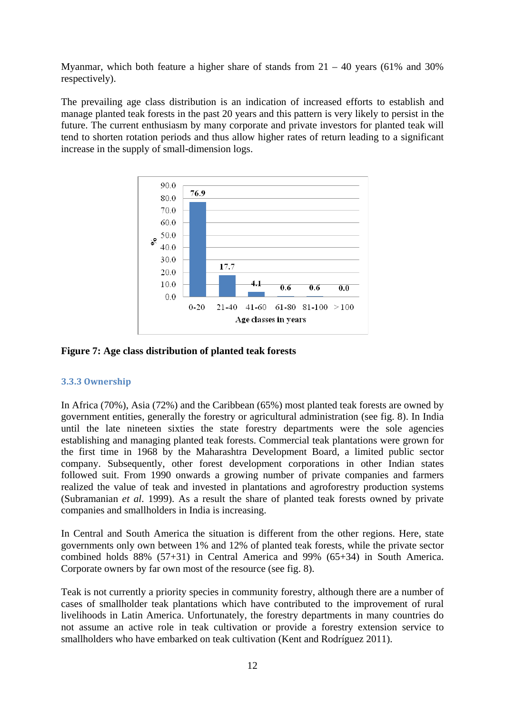Myanmar, which both feature a higher share of stands from  $21 - 40$  years (61% and 30%) respectively).

The prevailing age class distribution is an indication of increased efforts to establish and manage planted teak forests in the past 20 years and this pattern is very likely to persist in the future. The current enthusiasm by many corporate and private investors for planted teak will tend to shorten rotation periods and thus allow higher rates of return leading to a significant increase in the supply of small-dimension logs.



**Figure 7: Age class distribution of planted teak forests** 

## **3.3.3 Ownership**

In Africa (70%), Asia (72%) and the Caribbean (65%) most planted teak forests are owned by government entities, generally the forestry or agricultural administration (see fig. 8). In India until the late nineteen sixties the state forestry departments were the sole agencies establishing and managing planted teak forests. Commercial teak plantations were grown for the first time in 1968 by the Maharashtra Development Board, a limited public sector company. Subsequently, other forest development corporations in other Indian states followed suit. From 1990 onwards a growing number of private companies and farmers realized the value of teak and invested in plantations and agroforestry production systems (Subramanian *et al*. 1999). As a result the share of planted teak forests owned by private companies and smallholders in India is increasing.

In Central and South America the situation is different from the other regions. Here, state governments only own between 1% and 12% of planted teak forests, while the private sector combined holds 88% (57+31) in Central America and 99% (65+34) in South America. Corporate owners by far own most of the resource (see fig. 8).

Teak is not currently a priority species in community forestry, although there are a number of cases of smallholder teak plantations which have contributed to the improvement of rural livelihoods in Latin America. Unfortunately, the forestry departments in many countries do not assume an active role in teak cultivation or provide a forestry extension service to smallholders who have embarked on teak cultivation (Kent and Rodríguez 2011).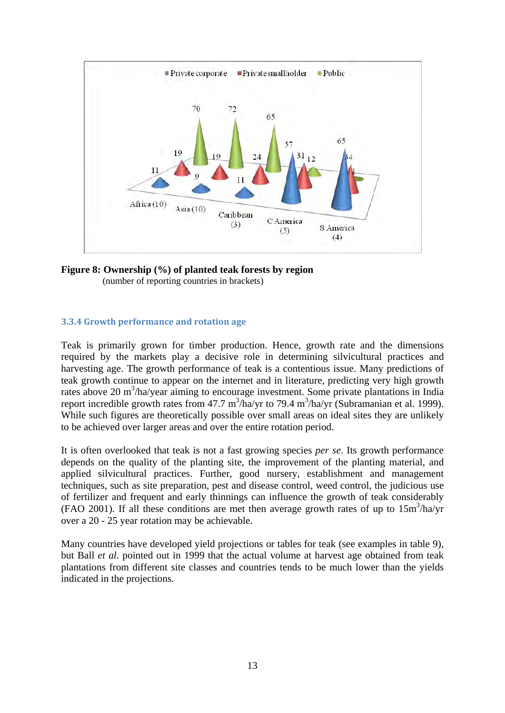

**Figure 8: Ownership (%) of planted teak forests by region**  (number of reporting countries in brackets)

### **3.3.4 Growth performance and rotation age**

Teak is primarily grown for timber production. Hence, growth rate and the dimensions required by the markets play a decisive role in determining silvicultural practices and harvesting age. The growth performance of teak is a contentious issue. Many predictions of teak growth continue to appear on the internet and in literature, predicting very high growth rates above 20 m<sup>3</sup>/ha/year aiming to encourage investment. Some private plantations in India report incredible growth rates from 47.7 m<sup>3</sup>/ha/yr to 79.4 m<sup>3</sup>/ha/yr (Subramanian et al. 1999). While such figures are theoretically possible over small areas on ideal sites they are unlikely to be achieved over larger areas and over the entire rotation period.

It is often overlooked that teak is not a fast growing species *per se*. Its growth performance depends on the quality of the planting site, the improvement of the planting material, and applied silvicultural practices. Further, good nursery, establishment and management techniques, such as site preparation, pest and disease control, weed control, the judicious use of fertilizer and frequent and early thinnings can influence the growth of teak considerably (FAO 2001). If all these conditions are met then average growth rates of up to 15m3 /ha/yr over a 20 - 25 year rotation may be achievable.

Many countries have developed yield projections or tables for teak (see examples in table 9), but Ball *et al*. pointed out in 1999 that the actual volume at harvest age obtained from teak plantations from different site classes and countries tends to be much lower than the yields indicated in the projections.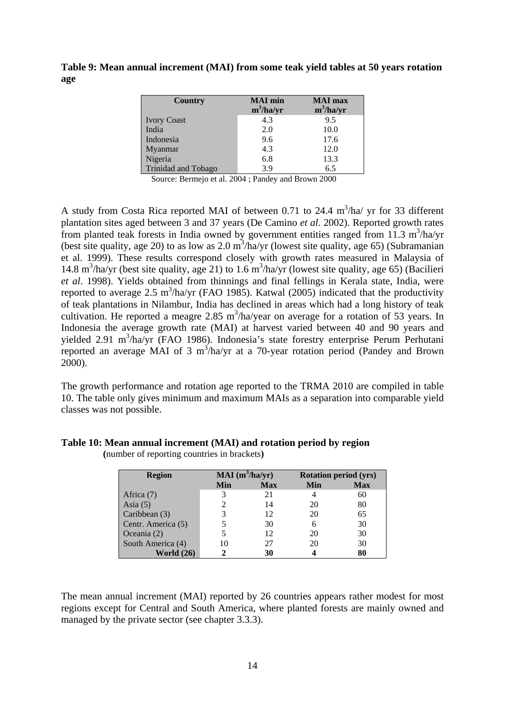**Table 9: Mean annual increment (MAI) from some teak yield tables at 50 years rotation age** 

| Country                    | <b>MAI</b> min<br>$m^3/ha/yr$ | <b>MAI</b> max<br>$m^3/ha/yr$ |
|----------------------------|-------------------------------|-------------------------------|
| <b>Ivory Coast</b>         | 4.3                           | 9.5                           |
| India                      | 2.0                           | 10.0                          |
| Indonesia                  | 9.6                           | 17.6                          |
| Myanmar                    | 4.3                           | 12.0                          |
| Nigeria                    | 6.8                           | 13.3                          |
| <b>Trinidad and Tobago</b> | 3.9                           | 6.5                           |

Source: Bermejo et al. 2004 ; Pandey and Brown 2000

A study from Costa Rica reported MAI of between 0.71 to 24.4  $m^3/ha/yr$  for 33 different plantation sites aged between 3 and 37 years (De Camino *et al*. 2002). Reported growth rates from planted teak forests in India owned by government entities ranged from 11.3  $m^3$ /ha/yr (best site quality, age 20) to as low as 2.0  $\text{m}^3/\text{ha/yr}$  (lowest site quality, age 65) (Subramanian et al. 1999). These results correspond closely with growth rates measured in Malaysia of 14.8 m<sup>3</sup>/ha/yr (best site quality, age 21) to 1.6 m<sup>3</sup>/ha/yr (lowest site quality, age 65) (Bacilieri *et al*. 1998). Yields obtained from thinnings and final fellings in Kerala state, India, were reported to average 2.5 m<sup>3</sup>/ha/yr (FAO 1985). Katwal (2005) indicated that the productivity of teak plantations in Nilambur, India has declined in areas which had a long history of teak cultivation. He reported a meagre 2.85 m<sup>3</sup>/ha/year on average for a rotation of 53 years. In Indonesia the average growth rate (MAI) at harvest varied between 40 and 90 years and yielded 2.91 m<sup>3</sup>/ha/yr (FAO 1986). Indonesia's state forestry enterprise Perum Perhutani reported an average MAI of 3  $m^3/ha/yr$  at a 70-year rotation period (Pandey and Brown 2000).

The growth performance and rotation age reported to the TRMA 2010 are compiled in table 10. The table only gives minimum and maximum MAIs as a separation into comparable yield classes was not possible.

| <b>Region</b>      | $MAI(m^3/ha/yr)$ |            |     | <b>Rotation period (yrs)</b> |
|--------------------|------------------|------------|-----|------------------------------|
|                    | Min              | <b>Max</b> | Min | <b>Max</b>                   |
| Africa (7)         |                  | 21         |     | 60                           |
| Asia $(5)$         |                  | 14         | 20  | 80                           |
| Caribbean (3)      |                  | 12         | 20  | 65                           |
| Centr. America (5) |                  | 30         |     | 30                           |
| Oceania $(2)$      |                  | 12         | 20  | 30                           |
| South America (4)  | 10               | 27         | 20  | 30                           |
| World $(26)$       |                  | 30         |     |                              |

**Table 10: Mean annual increment (MAI) and rotation period by region** 

**(**number of reporting countries in brackets**)** 

The mean annual increment (MAI) reported by 26 countries appears rather modest for most regions except for Central and South America, where planted forests are mainly owned and managed by the private sector (see chapter 3.3.3).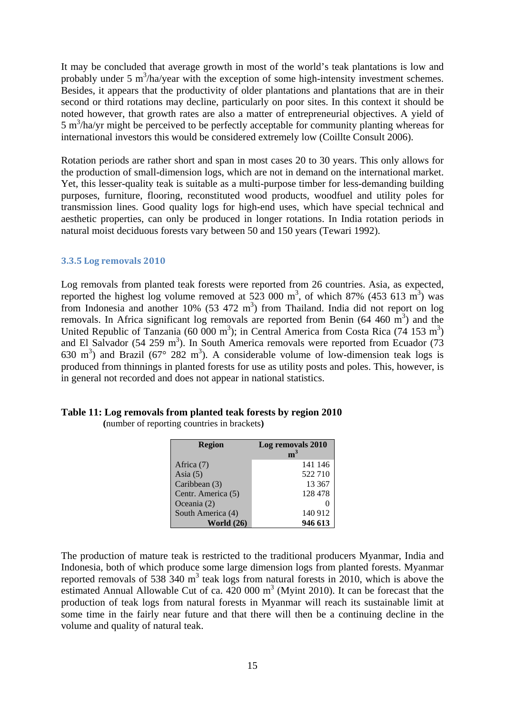It may be concluded that average growth in most of the world's teak plantations is low and probably under 5  $m^3/ha$ /year with the exception of some high-intensity investment schemes. Besides, it appears that the productivity of older plantations and plantations that are in their second or third rotations may decline, particularly on poor sites. In this context it should be noted however, that growth rates are also a matter of entrepreneurial objectives. A yield of 5 m<sup>3</sup>/ha/yr might be perceived to be perfectly acceptable for community planting whereas for international investors this would be considered extremely low (Coillte Consult 2006).

Rotation periods are rather short and span in most cases 20 to 30 years. This only allows for the production of small-dimension logs, which are not in demand on the international market. Yet, this lesser-quality teak is suitable as a multi-purpose timber for less-demanding building purposes, furniture, flooring, reconstituted wood products, woodfuel and utility poles for transmission lines. Good quality logs for high-end uses, which have special technical and aesthetic properties, can only be produced in longer rotations. In India rotation periods in natural moist deciduous forests vary between 50 and 150 years (Tewari 1992).

#### **3.3.5 Log removals 2010**

Log removals from planted teak forests were reported from 26 countries. Asia, as expected, reported the highest log volume removed at 523 000  $\text{m}^3$ , of which 87% (453 613  $\text{m}^3$ ) was from Indonesia and another  $10\%$  (53 472 m<sup>3</sup>) from Thailand. India did not report on log removals. In Africa significant log removals are reported from Benin  $(64, 460 \text{ m}^3)$  and the United Republic of Tanzania (60 000 m<sup>3</sup>); in Central America from Costa Rica (74 153 m<sup>3</sup>) and El Salvador (54 259 m<sup>3</sup>). In South America removals were reported from Ecuador (73 630 m<sup>3</sup>) and Brazil (67° 282 m<sup>3</sup>). A considerable volume of low-dimension teak logs is produced from thinnings in planted forests for use as utility posts and poles. This, however, is in general not recorded and does not appear in national statistics.

## **Table 11: Log removals from planted teak forests by region 2010**

**(**number of reporting countries in brackets**)** 

| <b>Region</b>      | Log removals 2010<br>m <sup>3</sup> |
|--------------------|-------------------------------------|
| Africa (7)         | 141 146                             |
| Asia $(5)$         | 522710                              |
| Caribbean (3)      | 13 3 67                             |
| Centr. America (5) | 128 478                             |
| Oceania (2)        |                                     |
| South America (4)  | 140 912                             |
| <b>World (26)</b>  | 946 613                             |

The production of mature teak is restricted to the traditional producers Myanmar, India and Indonesia, both of which produce some large dimension logs from planted forests. Myanmar reported removals of 538  $340 \text{ m}^3$  teak logs from natural forests in 2010, which is above the estimated Annual Allowable Cut of ca.  $420,000 \text{ m}^3$  (Myint 2010). It can be forecast that the production of teak logs from natural forests in Myanmar will reach its sustainable limit at some time in the fairly near future and that there will then be a continuing decline in the volume and quality of natural teak.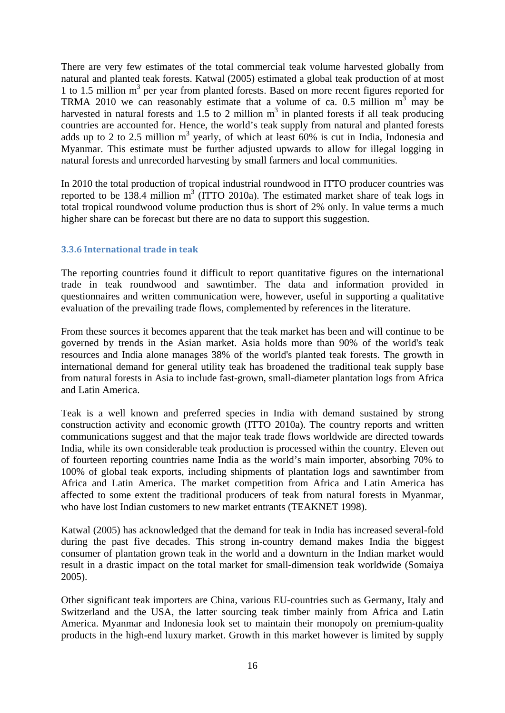There are very few estimates of the total commercial teak volume harvested globally from natural and planted teak forests. Katwal (2005) estimated a global teak production of at most 1 to 1.5 million m<sup>3</sup> per year from planted forests. Based on more recent figures reported for TRMA 2010 we can reasonably estimate that a volume of ca. 0.5 million  $m<sup>3</sup>$  may be harvested in natural forests and 1.5 to 2 million  $m<sup>3</sup>$  in planted forests if all teak producing countries are accounted for. Hence, the world's teak supply from natural and planted forests adds up to 2 to 2.5 million  $m^3$  yearly, of which at least 60% is cut in India, Indonesia and Myanmar. This estimate must be further adjusted upwards to allow for illegal logging in natural forests and unrecorded harvesting by small farmers and local communities.

In 2010 the total production of tropical industrial roundwood in ITTO producer countries was reported to be 138.4 million  $m^3$  (ITTO 2010a). The estimated market share of teak logs in total tropical roundwood volume production thus is short of 2% only. In value terms a much higher share can be forecast but there are no data to support this suggestion.

## **3.3.6 International trade in teak**

The reporting countries found it difficult to report quantitative figures on the international trade in teak roundwood and sawntimber. The data and information provided in questionnaires and written communication were, however, useful in supporting a qualitative evaluation of the prevailing trade flows, complemented by references in the literature.

From these sources it becomes apparent that the teak market has been and will continue to be governed by trends in the Asian market. Asia holds more than 90% of the world's teak resources and India alone manages 38% of the world's planted teak forests. The growth in international demand for general utility teak has broadened the traditional teak supply base from natural forests in Asia to include fast-grown, small-diameter plantation logs from Africa and Latin America.

Teak is a well known and preferred species in India with demand sustained by strong construction activity and economic growth (ITTO 2010a). The country reports and written communications suggest and that the major teak trade flows worldwide are directed towards India, while its own considerable teak production is processed within the country. Eleven out of fourteen reporting countries name India as the world's main importer, absorbing 70% to 100% of global teak exports, including shipments of plantation logs and sawntimber from Africa and Latin America. The market competition from Africa and Latin America has affected to some extent the traditional producers of teak from natural forests in Myanmar, who have lost Indian customers to new market entrants (TEAKNET 1998).

Katwal (2005) has acknowledged that the demand for teak in India has increased several-fold during the past five decades. This strong in-country demand makes India the biggest consumer of plantation grown teak in the world and a downturn in the Indian market would result in a drastic impact on the total market for small-dimension teak worldwide (Somaiya 2005).

Other significant teak importers are China, various EU-countries such as Germany, Italy and Switzerland and the USA, the latter sourcing teak timber mainly from Africa and Latin America. Myanmar and Indonesia look set to maintain their monopoly on premium-quality products in the high-end luxury market. Growth in this market however is limited by supply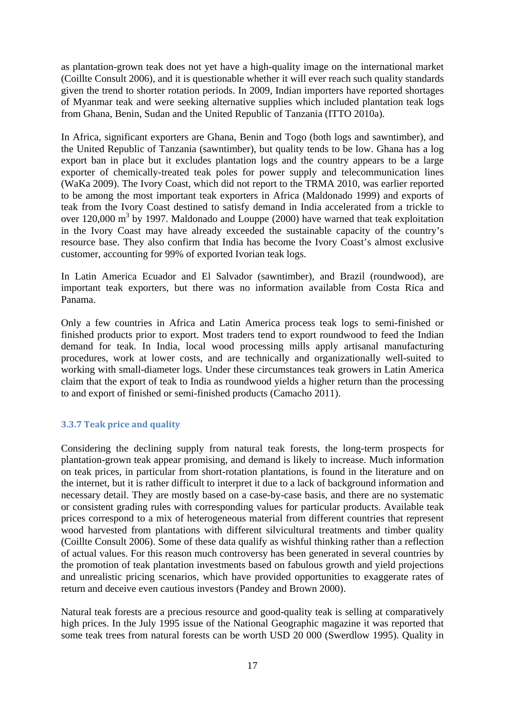as plantation-grown teak does not yet have a high-quality image on the international market (Coillte Consult 2006), and it is questionable whether it will ever reach such quality standards given the trend to shorter rotation periods. In 2009, Indian importers have reported shortages of Myanmar teak and were seeking alternative supplies which included plantation teak logs from Ghana, Benin, Sudan and the United Republic of Tanzania (ITTO 2010a).

In Africa, significant exporters are Ghana, Benin and Togo (both logs and sawntimber), and the United Republic of Tanzania (sawntimber), but quality tends to be low. Ghana has a log export ban in place but it excludes plantation logs and the country appears to be a large exporter of chemically-treated teak poles for power supply and telecommunication lines (WaKa 2009). The Ivory Coast, which did not report to the TRMA 2010, was earlier reported to be among the most important teak exporters in Africa (Maldonado 1999) and exports of teak from the Ivory Coast destined to satisfy demand in India accelerated from a trickle to over 120,000  $m<sup>3</sup>$  by 1997. Maldonado and Louppe (2000) have warned that teak exploitation in the Ivory Coast may have already exceeded the sustainable capacity of the country's resource base. They also confirm that India has become the Ivory Coast's almost exclusive customer, accounting for 99% of exported Ivorian teak logs.

In Latin America Ecuador and El Salvador (sawntimber), and Brazil (roundwood), are important teak exporters, but there was no information available from Costa Rica and Panama.

Only a few countries in Africa and Latin America process teak logs to semi-finished or finished products prior to export. Most traders tend to export roundwood to feed the Indian demand for teak. In India, local wood processing mills apply artisanal manufacturing procedures, work at lower costs, and are technically and organizationally well-suited to working with small-diameter logs. Under these circumstances teak growers in Latin America claim that the export of teak to India as roundwood yields a higher return than the processing to and export of finished or semi-finished products (Camacho 2011).

## **3.3.7 Teak price and quality**

Considering the declining supply from natural teak forests, the long-term prospects for plantation-grown teak appear promising, and demand is likely to increase. Much information on teak prices, in particular from short-rotation plantations, is found in the literature and on the internet, but it is rather difficult to interpret it due to a lack of background information and necessary detail. They are mostly based on a case-by-case basis, and there are no systematic or consistent grading rules with corresponding values for particular products. Available teak prices correspond to a mix of heterogeneous material from different countries that represent wood harvested from plantations with different silvicultural treatments and timber quality (Coillte Consult 2006). Some of these data qualify as wishful thinking rather than a reflection of actual values. For this reason much controversy has been generated in several countries by the promotion of teak plantation investments based on fabulous growth and yield projections and unrealistic pricing scenarios, which have provided opportunities to exaggerate rates of return and deceive even cautious investors (Pandey and Brown 2000).

Natural teak forests are a precious resource and good-quality teak is selling at comparatively high prices. In the July 1995 issue of the National Geographic magazine it was reported that some teak trees from natural forests can be worth USD 20 000 (Swerdlow 1995). Quality in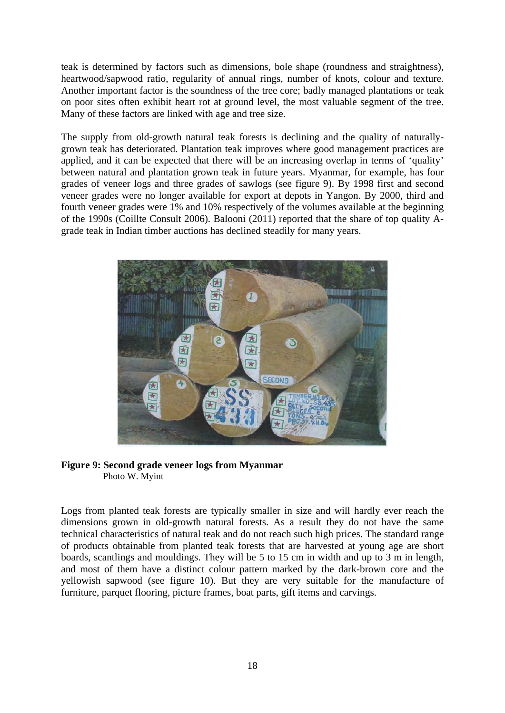teak is determined by factors such as dimensions, bole shape (roundness and straightness), heartwood/sapwood ratio, regularity of annual rings, number of knots, colour and texture. Another important factor is the soundness of the tree core; badly managed plantations or teak on poor sites often exhibit heart rot at ground level, the most valuable segment of the tree. Many of these factors are linked with age and tree size.

The supply from old-growth natural teak forests is declining and the quality of naturallygrown teak has deteriorated. Plantation teak improves where good management practices are applied, and it can be expected that there will be an increasing overlap in terms of 'quality' between natural and plantation grown teak in future years. Myanmar, for example, has four grades of veneer logs and three grades of sawlogs (see figure 9). By 1998 first and second veneer grades were no longer available for export at depots in Yangon. By 2000, third and fourth veneer grades were 1% and 10% respectively of the volumes available at the beginning of the 1990s (Coillte Consult 2006). Balooni (2011) reported that the share of top quality Agrade teak in Indian timber auctions has declined steadily for many years.



## **Figure 9: Second grade veneer logs from Myanmar**  Photo W. Myint

Logs from planted teak forests are typically smaller in size and will hardly ever reach the dimensions grown in old-growth natural forests. As a result they do not have the same technical characteristics of natural teak and do not reach such high prices. The standard range of products obtainable from planted teak forests that are harvested at young age are short boards, scantlings and mouldings. They will be 5 to 15 cm in width and up to 3 m in length, and most of them have a distinct colour pattern marked by the dark-brown core and the yellowish sapwood (see figure 10). But they are very suitable for the manufacture of furniture, parquet flooring, picture frames, boat parts, gift items and carvings.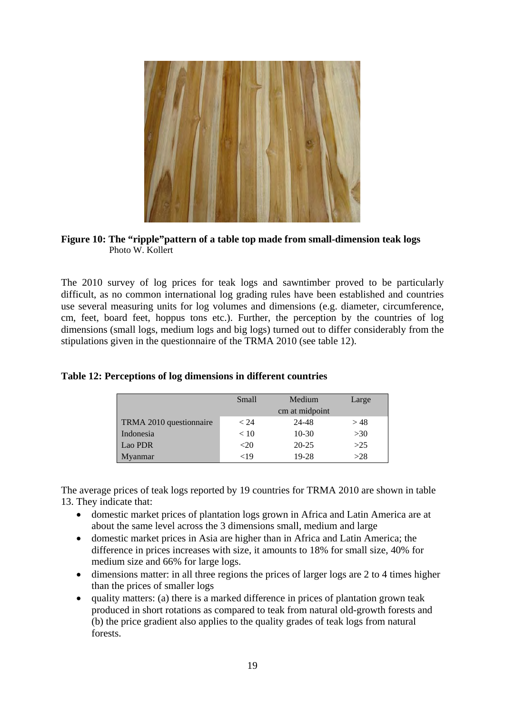

## **Figure 10: The "ripple"pattern of a table top made from small-dimension teak logs**  Photo W. Kollert

The 2010 survey of log prices for teak logs and sawntimber proved to be particularly difficult, as no common international log grading rules have been established and countries use several measuring units for log volumes and dimensions (e.g. diameter, circumference, cm, feet, board feet, hoppus tons etc.). Further, the perception by the countries of log dimensions (small logs, medium logs and big logs) turned out to differ considerably from the stipulations given in the questionnaire of the TRMA 2010 (see table 12).

|                         | Small   | Medium         | Large |
|-------------------------|---------|----------------|-------|
|                         |         | cm at midpoint |       |
| TRMA 2010 questionnaire | < 24    | 24-48          | >48   |
| Indonesia               | < 10    | $10-30$        | >30   |
| Lao PDR                 | $<$ 20  | $20 - 25$      | $>25$ |
| Myanmar                 | ${<}19$ | 19-28          | >28   |

## **Table 12: Perceptions of log dimensions in different countries**

The average prices of teak logs reported by 19 countries for TRMA 2010 are shown in table 13. They indicate that:

- domestic market prices of plantation logs grown in Africa and Latin America are at about the same level across the 3 dimensions small, medium and large
- domestic market prices in Asia are higher than in Africa and Latin America; the difference in prices increases with size, it amounts to 18% for small size, 40% for medium size and 66% for large logs.
- $\bullet$  dimensions matter: in all three regions the prices of larger logs are 2 to 4 times higher than the prices of smaller logs
- $\bullet$  quality matters: (a) there is a marked difference in prices of plantation grown teak produced in short rotations as compared to teak from natural old-growth forests and (b) the price gradient also applies to the quality grades of teak logs from natural forests.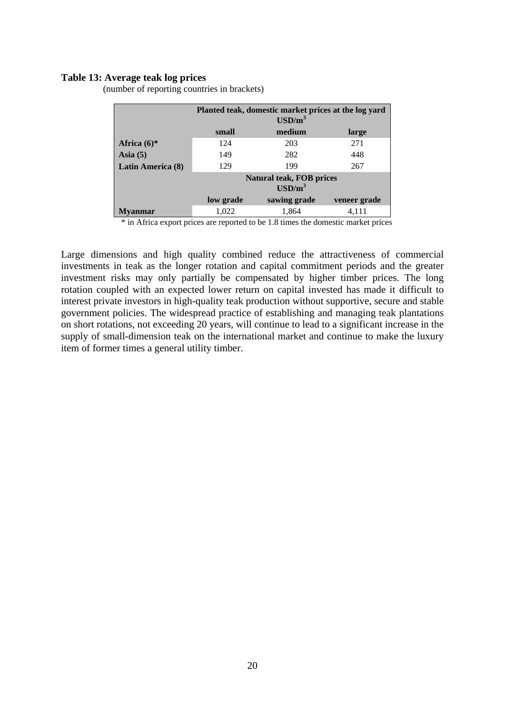#### **Table 13: Average teak log prices**

(number of reporting countries in brackets)

|                   |                   | Planted teak, domestic market prices at the log yard<br>$\text{USD/m}^3$ |              |  |
|-------------------|-------------------|--------------------------------------------------------------------------|--------------|--|
|                   | small             | medium                                                                   | large        |  |
| Africa $(6)$ *    | 124               | 203                                                                      | 271          |  |
| Asia $(5)$        | 149               | 282                                                                      | 448          |  |
| Latin America (8) | 129<br>199<br>267 |                                                                          |              |  |
|                   |                   | <b>Natural teak, FOB prices</b><br>$\text{USD/m}^3$                      |              |  |
|                   | low grade         | sawing grade                                                             | veneer grade |  |
| Mvanmar           | 1,022             | 1,864                                                                    | 4,111        |  |

\* in Africa export prices are reported to be 1.8 times the domestic market prices

Large dimensions and high quality combined reduce the attractiveness of commercial investments in teak as the longer rotation and capital commitment periods and the greater investment risks may only partially be compensated by higher timber prices. The long rotation coupled with an expected lower return on capital invested has made it difficult to interest private investors in high-quality teak production without supportive, secure and stable government policies. The widespread practice of establishing and managing teak plantations on short rotations, not exceeding 20 years, will continue to lead to a significant increase in the supply of small-dimension teak on the international market and continue to make the luxury item of former times a general utility timber.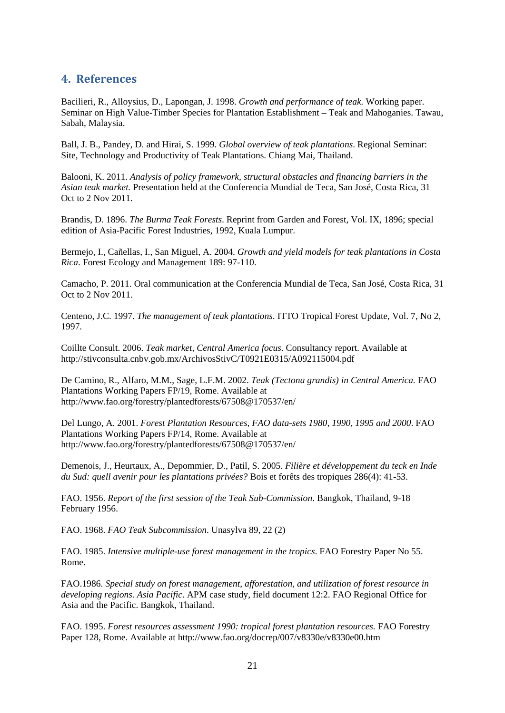# **4. References**

Bacilieri, R., Alloysius, D., Lapongan, J. 1998. *Growth and performance of teak.* Working paper. Seminar on High Value-Timber Species for Plantation Establishment – Teak and Mahoganies. Tawau, Sabah, Malaysia.

Ball, J. B., Pandey, D. and Hirai, S. 1999. *Global overview of teak plantations*. Regional Seminar: Site, Technology and Productivity of Teak Plantations. Chiang Mai, Thailand.

Balooni, K. 2011. *Analysis of policy framework, structural obstacles and financing barriers in the Asian teak market.* Presentation held at the Conferencia Mundial de Teca, San José, Costa Rica, 31 Oct to 2 Nov 2011.

Brandis, D. 1896. *The Burma Teak Forests*. Reprint from Garden and Forest, Vol. IX, 1896; special edition of Asia-Pacific Forest Industries, 1992, Kuala Lumpur.

Bermejo, I., Cañellas, I., San Miguel, A. 2004. *Growth and yield models for teak plantations in Costa Rica*. Forest Ecology and Management 189: 97-110.

Camacho, P. 2011. Oral communication at the Conferencia Mundial de Teca, San José, Costa Rica, 31 Oct to 2 Nov 2011.

Centeno, J.C. 1997. *The management of teak plantations*. ITTO Tropical Forest Update, Vol. 7, No 2, 1997.

Coillte Consult. 2006. *Teak market, Central America focus*. Consultancy report. Available at http://stivconsulta.cnbv.gob.mx/ArchivosStivC/T0921E0315/A092115004.pdf

De Camino, R., Alfaro, M.M., Sage, L.F.M. 2002. *Teak (Tectona grandis) in Central America.* FAO Plantations Working Papers FP/19, Rome. Available at http://www.fao.org/forestry/plantedforests/67508@170537/en/

Del Lungo, A. 2001. *Forest Plantation Resources, FAO data-sets 1980, 1990, 1995 and 2000*. FAO Plantations Working Papers FP/14, Rome. Available at http://www.fao.org/forestry/plantedforests/67508@170537/en/

Demenois, J., Heurtaux, A., Depommier, D., Patil, S. 2005. *Filière et développement du teck en Inde du Sud: quell avenir pour les plantations privées?* Bois et forêts des tropiques 286(4): 41-53.

FAO. 1956. *Report of the first session of the Teak Sub-Commission*. Bangkok, Thailand, 9-18 February 1956.

FAO. 1968. *FAO Teak Subcommission*. Unasylva 89, 22 (2)

FAO. 1985. *Intensive multiple-use forest management in the tropics*. FAO Forestry Paper No 55. Rome.

FAO.1986. *Special study on forest management, afforestation, and utilization of forest resource in developing regions. Asia Pacific*. APM case study, field document 12:2. FAO Regional Office for Asia and the Pacific. Bangkok, Thailand.

FAO. 1995. *Forest resources assessment 1990: tropical forest plantation resources.* FAO Forestry Paper 128, Rome. Available at http://www.fao.org/docrep/007/v8330e/v8330e00.htm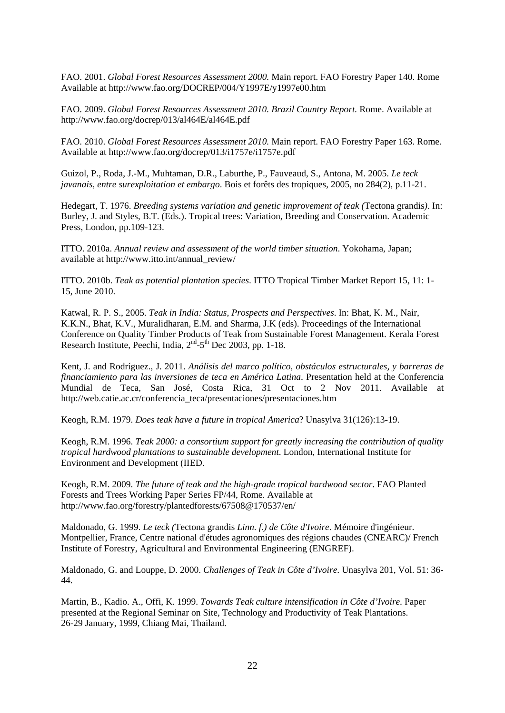FAO. 2001. *Global Forest Resources Assessment 2000.* Main report. FAO Forestry Paper 140. Rome Available at http://www.fao.org/DOCREP/004/Y1997E/y1997e00.htm

FAO. 2009. *Global Forest Resources Assessment 2010. Brazil Country Report.* Rome. Available at http://www.fao.org/docrep/013/al464E/al464E.pdf

FAO. 2010. *Global Forest Resources Assessment 2010.* Main report. FAO Forestry Paper 163. Rome. Available at http://www.fao.org/docrep/013/i1757e/i1757e.pdf

Guizol, P., Roda, J.-M., Muhtaman, D.R., Laburthe, P., Fauveaud, S., Antona, M. 2005. *Le teck javanais, entre surexploitation et embargo*. Bois et forêts des tropiques, 2005, no 284(2), p.11-21.

Hedegart, T. 1976. *Breeding systems variation and genetic improvement of teak (*Tectona grandis*)*. In: Burley, J. and Styles, B.T. (Eds.). Tropical trees: Variation, Breeding and Conservation. Academic Press, London, pp.109-123.

ITTO. 2010a. *Annual review and assessment of the world timber situation*. Yokohama, Japan; available at http://www.itto.int/annual\_review/

ITTO. 2010b. *Teak as potential plantation species*. ITTO Tropical Timber Market Report 15, 11: 1- 15, June 2010.

Katwal, R. P. S., 2005. *Teak in India: Status, Prospects and Perspectives*. In: Bhat, K. M., Nair, K.K.N., Bhat, K.V., Muralidharan, E.M. and Sharma, J.K (eds). Proceedings of the International Conference on Quality Timber Products of Teak from Sustainable Forest Management. Kerala Forest Research Institute, Peechi, India, 2<sup>nd</sup>-5<sup>th</sup> Dec 2003, pp. 1-18.

Kent, J. and Rodríguez., J. 2011. *Análisis del marco político, obstáculos estructurales, y barreras de financiamiento para las inversiones de teca en América Latina*. Presentation held at the Conferencia Mundial de Teca, San José, Costa Rica, 31 Oct to 2 Nov 2011. Available at http://web.catie.ac.cr/conferencia\_teca/presentaciones/presentaciones.htm

Keogh, R.M. 1979. *Does teak have a future in tropical America*? Unasylva 31(126):13-19.

Keogh, R.M. 1996. *Teak 2000: a consortium support for greatly increasing the contribution of quality tropical hardwood plantations to sustainable development*. London, International Institute for Environment and Development (IIED.

Keogh, R.M. 2009. *The future of teak and the high-grade tropical hardwood sector*. FAO Planted Forests and Trees Working Paper Series FP/44, Rome. Available at http://www.fao.org/forestry/plantedforests/67508@170537/en/

Maldonado, G. 1999. *Le teck (*Tectona grandis *Linn. f.) de Côte d'Ivoire*. Mémoire d'ingénieur. Montpellier, France, Centre national d'études agronomiques des régions chaudes (CNEARC)/ French Institute of Forestry, Agricultural and Environmental Engineering (ENGREF).

Maldonado, G. and Louppe, D. 2000. *Challenges of Teak in Côte d'Ivoire*. Unasylva 201, Vol. 51: 36- 44.

Martin, B., Kadio. A., Offi, K. 1999. *Towards Teak culture intensification in Côte d'Ivoire*. Paper presented at the Regional Seminar on Site, Technology and Productivity of Teak Plantations. 26-29 January, 1999, Chiang Mai, Thailand.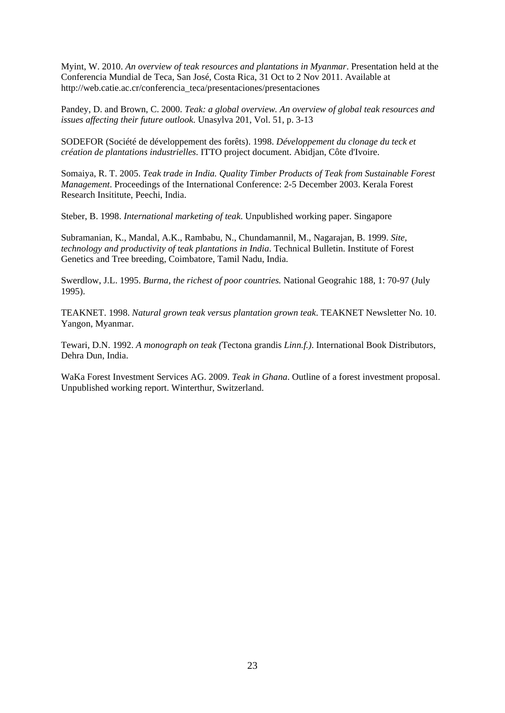Myint, W. 2010. *An overview of teak resources and plantations in Myanmar*. Presentation held at the Conferencia Mundial de Teca, San José, Costa Rica, 31 Oct to 2 Nov 2011. Available at http://web.catie.ac.cr/conferencia\_teca/presentaciones/presentaciones

Pandey, D. and Brown, C. 2000. *Teak: a global overview. An overview of global teak resources and issues affecting their future outlook*. Unasylva 201, Vol. 51, p. 3-13

SODEFOR (Société de développement des forêts). 1998. *Développement du clonage du teck et création de plantations industrielles*. ITTO project document. Abidjan, Côte d'Ivoire.

Somaiya, R. T. 2005. *Teak trade in India. Quality Timber Products of Teak from Sustainable Forest Management*. Proceedings of the International Conference: 2-5 December 2003. Kerala Forest Research Insititute, Peechi, India.

Steber, B. 1998. *International marketing of teak*. Unpublished working paper. Singapore

Subramanian, K., Mandal, A.K., Rambabu, N., Chundamannil, M., Nagarajan, B. 1999. *Site, technology and productivity of teak plantations in India*. Technical Bulletin. Institute of Forest Genetics and Tree breeding, Coimbatore, Tamil Nadu, India.

Swerdlow, J.L. 1995. *Burma, the richest of poor countries.* National Geograhic 188, 1: 70-97 (July 1995).

TEAKNET. 1998. *Natural grown teak versus plantation grown teak*. TEAKNET Newsletter No. 10. Yangon, Myanmar.

Tewari, D.N. 1992. *A monograph on teak (*Tectona grandis *Linn.f.)*. International Book Distributors, Dehra Dun, India.

WaKa Forest Investment Services AG. 2009. *Teak in Ghana*. Outline of a forest investment proposal. Unpublished working report. Winterthur, Switzerland.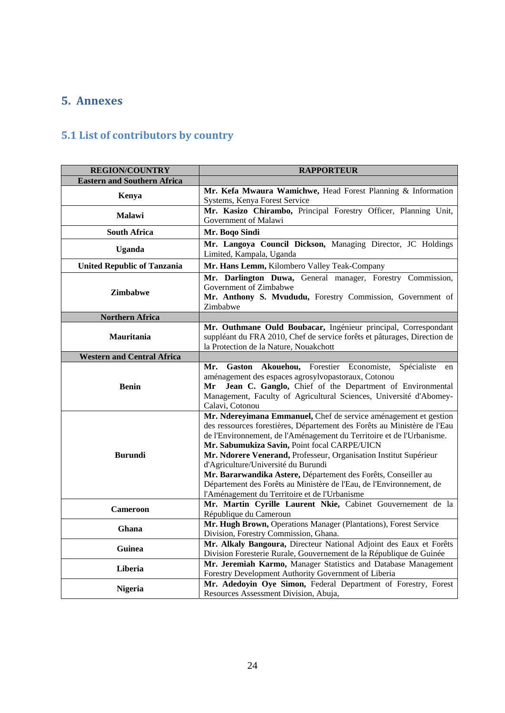# **5. Annexes**

# **5.1 List of contributors by country**

| <b>REGION/COUNTRY</b>              | <b>RAPPORTEUR</b>                                                                                                                    |
|------------------------------------|--------------------------------------------------------------------------------------------------------------------------------------|
| <b>Eastern and Southern Africa</b> |                                                                                                                                      |
|                                    | Mr. Kefa Mwaura Wamichwe, Head Forest Planning & Information                                                                         |
| Kenya                              | Systems, Kenya Forest Service                                                                                                        |
| <b>Malawi</b>                      | Mr. Kasizo Chirambo, Principal Forestry Officer, Planning Unit,                                                                      |
|                                    | Government of Malawi                                                                                                                 |
| <b>South Africa</b>                | Mr. Boqo Sindi                                                                                                                       |
| <b>Uganda</b>                      | Mr. Langoya Council Dickson, Managing Director, JC Holdings                                                                          |
|                                    | Limited, Kampala, Uganda                                                                                                             |
| <b>United Republic of Tanzania</b> | Mr. Hans Lemm, Kilombero Valley Teak-Company                                                                                         |
|                                    | Mr. Darlington Duwa, General manager, Forestry Commission,                                                                           |
| <b>Zimbabwe</b>                    | Government of Zimbabwe                                                                                                               |
|                                    | Mr. Anthony S. Mvududu, Forestry Commission, Government of                                                                           |
|                                    | Zimbabwe                                                                                                                             |
| <b>Northern Africa</b>             |                                                                                                                                      |
|                                    | Mr. Outhmane Ould Boubacar, Ingénieur principal, Correspondant                                                                       |
| <b>Mauritania</b>                  | suppléant du FRA 2010, Chef de service forêts et pâturages, Direction de                                                             |
|                                    | la Protection de la Nature, Nouakchott                                                                                               |
| <b>Western and Central Africa</b>  |                                                                                                                                      |
|                                    | Gaston Akouehou, Forestier Economiste,<br>Spécialiste<br>Mr.<br>en                                                                   |
|                                    | aménagement des espaces agrosylvopastoraux, Cotonou                                                                                  |
| <b>Benin</b>                       | Jean C. Ganglo, Chief of the Department of Environmental<br>Mr<br>Management, Faculty of Agricultural Sciences, Université d'Abomey- |
|                                    | Calavi, Cotonou                                                                                                                      |
|                                    | Mr. Ndereyimana Emmanuel, Chef de service aménagement et gestion                                                                     |
|                                    | des ressources forestières, Département des Forêts au Ministère de l'Eau                                                             |
|                                    | de l'Environnement, de l'Aménagement du Territoire et de l'Urbanisme.                                                                |
|                                    | Mr. Sabumukiza Savin, Point focal CARPE/UICN                                                                                         |
| <b>Burundi</b>                     | Mr. Ndorere Venerand, Professeur, Organisation Institut Supérieur                                                                    |
|                                    | d'Agriculture/Université du Burundi                                                                                                  |
|                                    | Mr. Bararwandika Astere, Département des Forêts, Conseiller au                                                                       |
|                                    | Département des Forêts au Ministère de l'Eau, de l'Environnement, de                                                                 |
|                                    | l'Aménagement du Territoire et de l'Urbanisme                                                                                        |
| <b>Cameroon</b>                    | Mr. Martin Cyrille Laurent Nkie, Cabinet Gouvernement de la                                                                          |
|                                    | République du Cameroun                                                                                                               |
| Ghana                              | Mr. Hugh Brown, Operations Manager (Plantations), Forest Service                                                                     |
|                                    | Division, Forestry Commission, Ghana.                                                                                                |
| Guinea                             | Mr. Alkaly Bangoura, Directeur National Adjoint des Eaux et Forêts                                                                   |
|                                    | Division Foresterie Rurale, Gouvernement de la République de Guinée                                                                  |
| Liberia                            | Mr. Jeremiah Karmo, Manager Statistics and Database Management                                                                       |
|                                    | Forestry Development Authority Government of Liberia                                                                                 |
| <b>Nigeria</b>                     | Mr. Adedoyin Oye Simon, Federal Department of Forestry, Forest                                                                       |
|                                    | Resources Assessment Division, Abuja,                                                                                                |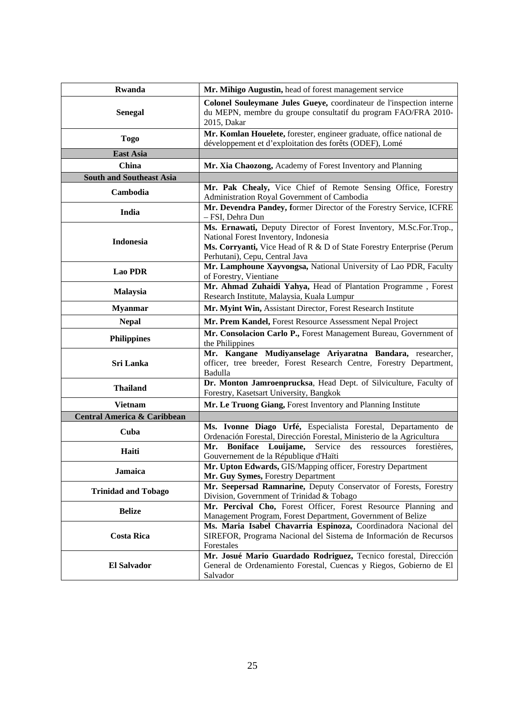| Rwanda                                 | Mr. Mihigo Augustin, head of forest management service                                                                                                                                                                |  |
|----------------------------------------|-----------------------------------------------------------------------------------------------------------------------------------------------------------------------------------------------------------------------|--|
| <b>Senegal</b>                         | Colonel Souleymane Jules Gueye, coordinateur de l'inspection interne<br>du MEPN, membre du groupe consultatif du program FAO/FRA 2010-<br>2015, Dakar                                                                 |  |
| <b>Togo</b>                            | Mr. Komlan Houelete, forester, engineer graduate, office national de<br>développement et d'exploitation des forêts (ODEF), Lomé                                                                                       |  |
| <b>East Asia</b>                       |                                                                                                                                                                                                                       |  |
| <b>China</b>                           | Mr. Xia Chaozong, Academy of Forest Inventory and Planning                                                                                                                                                            |  |
| <b>South and Southeast Asia</b>        |                                                                                                                                                                                                                       |  |
| Cambodia                               | Mr. Pak Chealy, Vice Chief of Remote Sensing Office, Forestry<br>Administration Royal Government of Cambodia                                                                                                          |  |
| India                                  | Mr. Devendra Pandey, former Director of the Forestry Service, ICFRE<br>- FSI, Dehra Dun                                                                                                                               |  |
| Indonesia                              | Ms. Ernawati, Deputy Director of Forest Inventory, M.Sc.For.Trop.,<br>National Forest Inventory, Indonesia<br>Ms. Corryanti, Vice Head of R & D of State Forestry Enterprise (Perum<br>Perhutani), Cepu, Central Java |  |
| <b>Lao PDR</b>                         | Mr. Lamphoune Xayvongsa, National University of Lao PDR, Faculty<br>of Forestry, Vientiane                                                                                                                            |  |
| <b>Malaysia</b>                        | Mr. Ahmad Zuhaidi Yahya, Head of Plantation Programme, Forest<br>Research Institute, Malaysia, Kuala Lumpur                                                                                                           |  |
| <b>Myanmar</b>                         | Mr. Myint Win, Assistant Director, Forest Research Institute                                                                                                                                                          |  |
| <b>Nepal</b>                           | Mr. Prem Kandel, Forest Resource Assessment Nepal Project                                                                                                                                                             |  |
| <b>Philippines</b>                     | Mr. Consolacion Carlo P., Forest Management Bureau, Government of<br>the Philippines                                                                                                                                  |  |
| Sri Lanka                              | Mr. Kangane Mudiyanselage Ariyaratna Bandara, researcher,<br>officer, tree breeder, Forest Research Centre, Forestry Department,<br>Badulla                                                                           |  |
| <b>Thailand</b>                        | Dr. Monton Jamroenprucksa, Head Dept. of Silviculture, Faculty of<br>Forestry, Kasetsart University, Bangkok                                                                                                          |  |
| <b>Vietnam</b>                         | Mr. Le Truong Giang, Forest Inventory and Planning Institute                                                                                                                                                          |  |
| <b>Central America &amp; Caribbean</b> |                                                                                                                                                                                                                       |  |
| Cuba                                   | Ms. Ivonne Diago Urfé, Especialista Forestal, Departamento de<br>Ordenación Forestal, Dirección Forestal, Ministerio de la Agricultura                                                                                |  |
| Haiti                                  | Service<br>Boniface Louijame,<br>Mr.<br>des<br>ressources forestières,<br>Gouvernement de la République d'Haïti                                                                                                       |  |
| Jamaica                                | Mr. Upton Edwards, GIS/Mapping officer, Forestry Department<br>Mr. Guy Symes, Forestry Department                                                                                                                     |  |
| <b>Trinidad and Tobago</b>             | Mr. Seepersad Ramnarine, Deputy Conservator of Forests, Forestry<br>Division, Government of Trinidad & Tobago                                                                                                         |  |
| <b>Belize</b>                          | Mr. Percival Cho, Forest Officer, Forest Resource Planning and<br>Management Program, Forest Department, Government of Belize                                                                                         |  |
| <b>Costa Rica</b>                      | Ms. Maria Isabel Chavarria Espinoza, Coordinadora Nacional del<br>SIREFOR, Programa Nacional del Sistema de Información de Recursos<br>Forestales                                                                     |  |
| <b>El Salvador</b>                     | Mr. Josué Mario Guardado Rodriguez, Tecnico forestal, Dirección<br>General de Ordenamiento Forestal, Cuencas y Riegos, Gobierno de El<br>Salvador                                                                     |  |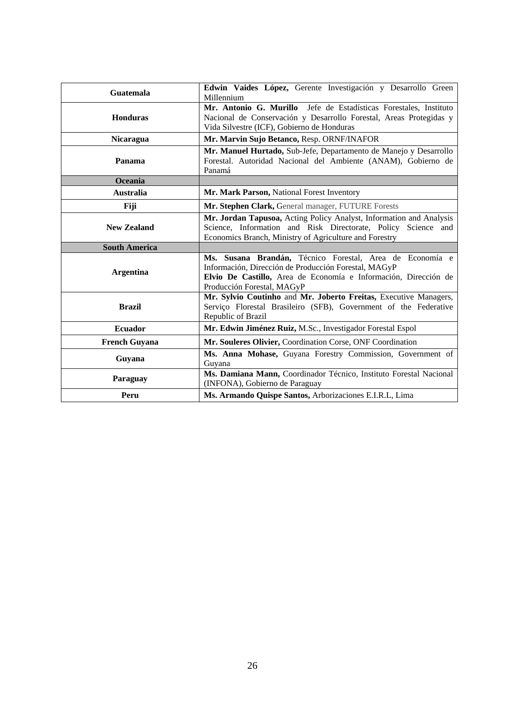| Guatemala            | Edwin Vaides López, Gerente Investigación y Desarrollo Green<br>Millennium                                                                                                                                        |  |
|----------------------|-------------------------------------------------------------------------------------------------------------------------------------------------------------------------------------------------------------------|--|
| <b>Honduras</b>      | Mr. Antonio G. Murillo Jefe de Estadísticas Forestales, Instituto<br>Nacional de Conservación y Desarrollo Forestal, Areas Protegidas y<br>Vida Silvestre (ICF), Gobierno de Honduras                             |  |
| <b>Nicaragua</b>     | Mr. Marvin Sujo Betanco, Resp. ORNF/INAFOR                                                                                                                                                                        |  |
| Panama               | Mr. Manuel Hurtado, Sub-Jefe, Departamento de Manejo y Desarrollo<br>Forestal. Autoridad Nacional del Ambiente (ANAM), Gobierno de<br>Panamá                                                                      |  |
| Oceania              |                                                                                                                                                                                                                   |  |
| <b>Australia</b>     | Mr. Mark Parson, National Forest Inventory                                                                                                                                                                        |  |
| Fiji                 | Mr. Stephen Clark, General manager, FUTURE Forests                                                                                                                                                                |  |
| <b>New Zealand</b>   | Mr. Jordan Tapusoa, Acting Policy Analyst, Information and Analysis<br>Science, Information and Risk Directorate, Policy Science and<br>Economics Branch, Ministry of Agriculture and Forestry                    |  |
| <b>South America</b> |                                                                                                                                                                                                                   |  |
|                      |                                                                                                                                                                                                                   |  |
| <b>Argentina</b>     | Ms. Susana Brandán, Técnico Forestal, Area de Economía e<br>Información, Dirección de Producción Forestal, MAGyP<br>Elvio De Castillo, Area de Economía e Información, Dirección de<br>Producción Forestal, MAGyP |  |
| <b>Brazil</b>        | Mr. Sylvio Coutinho and Mr. Joberto Freitas, Executive Managers,<br>Serviço Florestal Brasileiro (SFB), Government of the Federative<br>Republic of Brazil                                                        |  |
| <b>Ecuador</b>       | Mr. Edwin Jiménez Ruiz, M.Sc., Investigador Forestal Espol                                                                                                                                                        |  |
| <b>French Guyana</b> | Mr. Souleres Olivier, Coordination Corse, ONF Coordination                                                                                                                                                        |  |
| Guyana               | Ms. Anna Mohase, Guyana Forestry Commission, Government of<br>Guyana                                                                                                                                              |  |
| Paraguay             | Ms. Damiana Mann, Coordinador Técnico, Instituto Forestal Nacional<br>(INFONA), Gobierno de Paraguay                                                                                                              |  |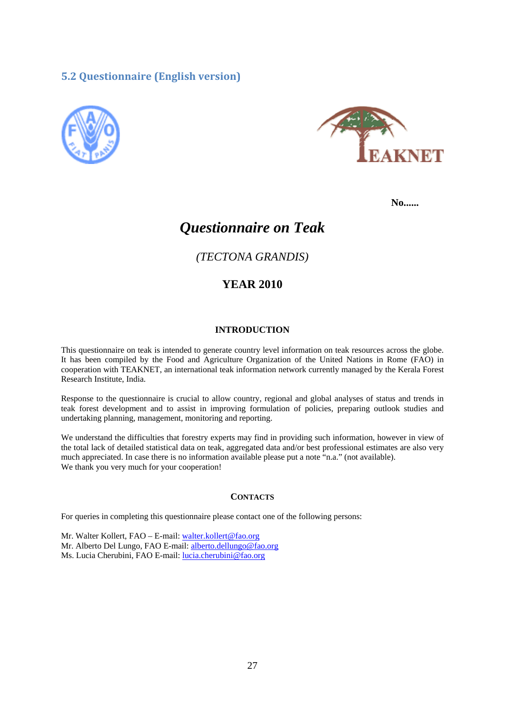# **5.2 Questionnaire (English version)**





**No......** 

# *Questionnaire on Teak*

*(TECTONA GRANDIS)* 

# **YEAR 2010**

#### **INTRODUCTION**

This questionnaire on teak is intended to generate country level information on teak resources across the globe. It has been compiled by the Food and Agriculture Organization of the United Nations in Rome (FAO) in cooperation with TEAKNET, an international teak information network currently managed by the Kerala Forest Research Institute, India.

Response to the questionnaire is crucial to allow country, regional and global analyses of status and trends in teak forest development and to assist in improving formulation of policies, preparing outlook studies and undertaking planning, management, monitoring and reporting.

We understand the difficulties that forestry experts may find in providing such information, however in view of the total lack of detailed statistical data on teak, aggregated data and/or best professional estimates are also very much appreciated. In case there is no information available please put a note "n.a." (not available). We thank you very much for your cooperation!

#### **CONTACTS**

For queries in completing this questionnaire please contact one of the following persons:

Mr. Walter Kollert, FAO – E-mail: walter.kollert@fao.org Mr. Alberto Del Lungo, FAO E-mail: alberto.dellungo@fao.org Ms. Lucia Cherubini, FAO E-mail: lucia.cherubini@fao.org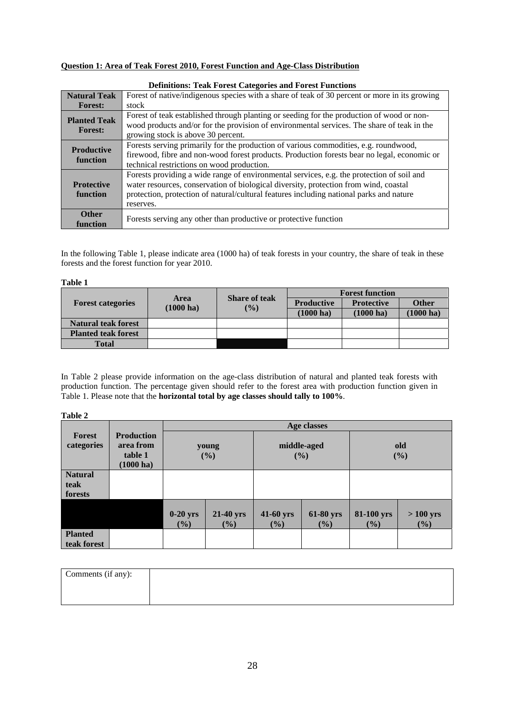#### **Question 1: Area of Teak Forest 2010, Forest Function and Age-Class Distribution**

|                                       | Definitions. Teak Forest Categories and Forest Functions                                                                                                                                                                                                                                  |
|---------------------------------------|-------------------------------------------------------------------------------------------------------------------------------------------------------------------------------------------------------------------------------------------------------------------------------------------|
| <b>Natural Teak</b>                   | Forest of native/indigenous species with a share of teak of 30 percent or more in its growing                                                                                                                                                                                             |
| <b>Forest:</b>                        | stock                                                                                                                                                                                                                                                                                     |
| <b>Planted Teak</b><br><b>Forest:</b> | Forest of teak established through planting or seeding for the production of wood or non-<br>wood products and/or for the provision of environmental services. The share of teak in the<br>growing stock is above 30 percent.                                                             |
| <b>Productive</b><br>function         | Forests serving primarily for the production of various commodities, e.g. roundwood,<br>firewood, fibre and non-wood forest products. Production forests bear no legal, economic or<br>technical restrictions on wood production.                                                         |
| <b>Protective</b><br>function         | Forests providing a wide range of environmental services, e.g. the protection of soil and<br>water resources, conservation of biological diversity, protection from wind, coastal<br>protection, protection of natural/cultural features including national parks and nature<br>reserves. |
| <b>Other</b><br>function              | Forests serving any other than productive or protective function                                                                                                                                                                                                                          |

#### **Definitions: Teak Forest Categories and Forest Functions**

In the following Table 1, please indicate area (1000 ha) of teak forests in your country, the share of teak in these forests and the forest function for year 2010.

#### **Table 1**

| <b>Forest categories</b>   | <b>Area</b><br>$(1000 \text{ ha})$ | <b>Share of teak</b><br>$($ %) | <b>Forest function</b> |                     |                     |
|----------------------------|------------------------------------|--------------------------------|------------------------|---------------------|---------------------|
|                            |                                    |                                | <b>Productive</b>      | <b>Protective</b>   | <b>Other</b>        |
|                            |                                    |                                | $(1000 \text{ ha})$    | $(1000 \text{ ha})$ | $(1000 \text{ ha})$ |
| <b>Natural teak forest</b> |                                    |                                |                        |                     |                     |
| <b>Planted teak forest</b> |                                    |                                |                        |                     |                     |
| <b>Total</b>               |                                    |                                |                        |                     |                     |

In Table 2 please provide information on the age-class distribution of natural and planted teak forests with production function. The percentage given should refer to the forest area with production function given in Table 1. Please note that the **horizontal total by age classes should tally to 100%**.

#### **Table 2**

|                                   |                                                                  |                      | Age classes         |                     |                    |                   |                   |
|-----------------------------------|------------------------------------------------------------------|----------------------|---------------------|---------------------|--------------------|-------------------|-------------------|
| <b>Forest</b><br>categories       | <b>Production</b><br>area from<br>table 1<br>$(1000 \text{ ha})$ |                      | young<br>(%)        |                     | middle-aged<br>(%) |                   | old<br>(%)        |
| <b>Natural</b><br>teak<br>forests |                                                                  |                      |                     |                     |                    |                   |                   |
|                                   |                                                                  | $0-20$ yrs<br>$(\%)$ | 21-40 yrs<br>$(\%)$ | 41-60 yrs<br>$(\%)$ | 61-80 yrs<br>(%)   | 81-100 yrs<br>(%) | $>100$ yrs<br>(%) |
| <b>Planted</b><br>teak forest     |                                                                  |                      |                     |                     |                    |                   |                   |

| Comments (if any): |  |  |
|--------------------|--|--|
|                    |  |  |
|                    |  |  |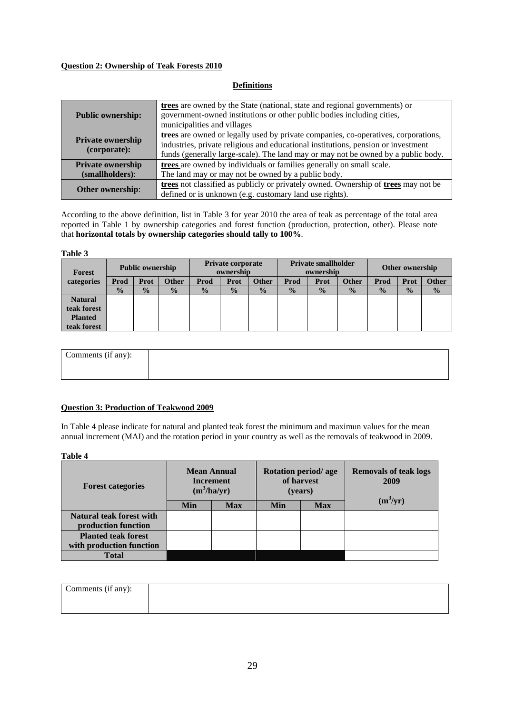#### **Question 2: Ownership of Teak Forests 2010**

#### **Definitions**

| <b>Public ownership:</b>                 | trees are owned by the State (national, state and regional governments) or<br>government-owned institutions or other public bodies including cities,<br>municipalities and villages                                                                          |
|------------------------------------------|--------------------------------------------------------------------------------------------------------------------------------------------------------------------------------------------------------------------------------------------------------------|
| <b>Private ownership</b><br>(corporate): | trees are owned or legally used by private companies, co-operatives, corporations,<br>industries, private religious and educational institutions, pension or investment<br>funds (generally large-scale). The land may or may not be owned by a public body. |
| <b>Private ownership</b>                 | trees are owned by individuals or families generally on small scale.                                                                                                                                                                                         |
| (smallholders):                          | The land may or may not be owned by a public body.                                                                                                                                                                                                           |
| <b>Other ownership:</b>                  | trees not classified as publicly or privately owned. Ownership of trees may not be<br>defined or is unknown (e.g. customary land use rights).                                                                                                                |

According to the above definition, list in Table 3 for year 2010 the area of teak as percentage of the total area reported in Table 1 by ownership categories and forest function (production, protection, other). Please note that **horizontal totals by ownership categories should tally to 100%**.

#### **Table 3**

| <b>Forest</b>  | <b>Public ownership</b> |               | <b>Private corporate</b><br>ownership |               | <b>Private smallholder</b><br>ownership |               |               | <b>Other ownership</b> |               |               |               |               |
|----------------|-------------------------|---------------|---------------------------------------|---------------|-----------------------------------------|---------------|---------------|------------------------|---------------|---------------|---------------|---------------|
| categories     | Prod                    | Prot          | <b>Other</b>                          | Prod          | Prot                                    | <b>Other</b>  | Prod          | Prot                   | Other         | Prod          | Prot          | Other         |
|                | $\frac{0}{0}$           | $\frac{0}{0}$ | $\frac{0}{0}$                         | $\frac{0}{2}$ | $\frac{0}{0}$                           | $\frac{0}{0}$ | $\frac{0}{0}$ | $\frac{0}{0}$          | $\frac{0}{0}$ | $\frac{0}{2}$ | $\frac{0}{0}$ | $\frac{0}{0}$ |
| <b>Natural</b> |                         |               |                                       |               |                                         |               |               |                        |               |               |               |               |
| teak forest    |                         |               |                                       |               |                                         |               |               |                        |               |               |               |               |
| <b>Planted</b> |                         |               |                                       |               |                                         |               |               |                        |               |               |               |               |
| teak forest    |                         |               |                                       |               |                                         |               |               |                        |               |               |               |               |

| Comments (if any): |  |
|--------------------|--|
|                    |  |

#### **Question 3: Production of Teakwood 2009**

In Table 4 please indicate for natural and planted teak forest the minimum and maximun values for the mean annual increment (MAI) and the rotation period in your country as well as the removals of teakwood in 2009.

#### **Table 4**

| <b>Forest categories</b>                        | <b>Mean Annual</b><br><b>Increment</b><br>$(m^3/ha/yr)$ |            |            | Rotation period/age<br>of harvest<br>(years) | <b>Removals of teak logs</b><br>2009 |  |
|-------------------------------------------------|---------------------------------------------------------|------------|------------|----------------------------------------------|--------------------------------------|--|
|                                                 | Min                                                     | <b>Max</b> | <b>Min</b> | <b>Max</b>                                   | $(m^3/yr)$                           |  |
| Natural teak forest with<br>production function |                                                         |            |            |                                              |                                      |  |
| <b>Planted teak forest</b>                      |                                                         |            |            |                                              |                                      |  |
| with production function                        |                                                         |            |            |                                              |                                      |  |
| <b>Total</b>                                    |                                                         |            |            |                                              |                                      |  |

| Comments (if any): |  |
|--------------------|--|
|                    |  |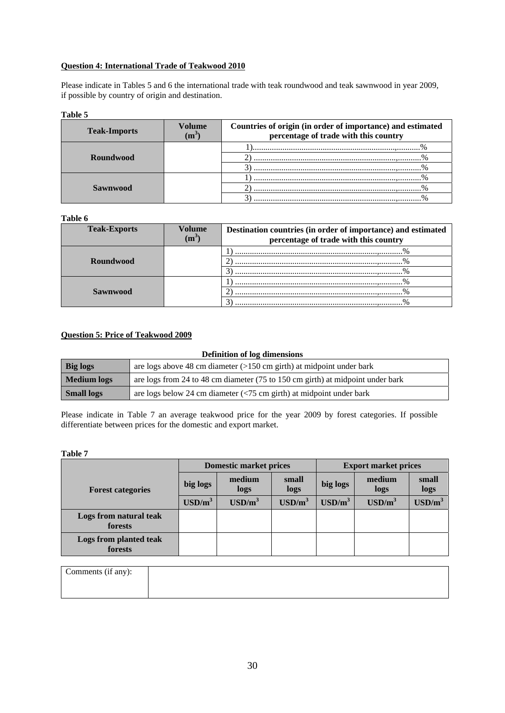#### **Question 4: International Trade of Teakwood 2010**

Please indicate in Tables 5 and 6 the international trade with teak roundwood and teak sawnwood in year 2009, if possible by country of origin and destination.

#### **Table 5**

| <b>Teak-Imports</b> | Volume | Countries of origin (in order of importance) and estimated<br>percentage of trade with this country |
|---------------------|--------|-----------------------------------------------------------------------------------------------------|
|                     |        |                                                                                                     |
| <b>Roundwood</b>    |        |                                                                                                     |
|                     |        |                                                                                                     |
|                     |        |                                                                                                     |
| <b>Sawnwood</b>     |        |                                                                                                     |
|                     |        |                                                                                                     |

#### **Table 6**

| <b>Teak-Exports</b> | Volume | Destination countries (in order of importance) and estimated<br>percentage of trade with this country |  |  |  |
|---------------------|--------|-------------------------------------------------------------------------------------------------------|--|--|--|
|                     |        |                                                                                                       |  |  |  |
| <b>Roundwood</b>    |        |                                                                                                       |  |  |  |
|                     |        |                                                                                                       |  |  |  |
|                     |        |                                                                                                       |  |  |  |
| <b>Sawnwood</b>     |        |                                                                                                       |  |  |  |
|                     |        |                                                                                                       |  |  |  |

#### **Question 5: Price of Teakwood 2009**

#### **Definition of log dimensions**

| <b>Big logs</b>                                                                               | are logs above 48 cm diameter $(>150 \text{ cm} \text{ girth})$ at midpoint under bark |
|-----------------------------------------------------------------------------------------------|----------------------------------------------------------------------------------------|
| are logs from 24 to 48 cm diameter (75 to 150 cm girth) at midpoint under bark<br>Medium logs |                                                                                        |
| <b>Small logs</b>                                                                             | are logs below 24 cm diameter $\left(\frac{5}{5}$ cm girth) at midpoint under bark     |

Please indicate in Table 7 an average teakwood price for the year 2009 by forest categories. If possible differentiate between prices for the domestic and export market.

**Table 7** 

|                                   | <b>Domestic market prices</b> |                  |                  | <b>Export market prices</b> |                  |                  |  |
|-----------------------------------|-------------------------------|------------------|------------------|-----------------------------|------------------|------------------|--|
| <b>Forest categories</b>          | big logs                      | medium<br>logs   | small<br>logs    | big logs                    | medium<br>logs   | small<br>logs    |  |
|                                   | $\text{USD/m}^3$              | $\text{USD/m}^3$ | $\text{USD/m}^3$ | $\text{USD/m}^3$            | $\text{USD/m}^3$ | $\text{USD/m}^3$ |  |
| Logs from natural teak<br>forests |                               |                  |                  |                             |                  |                  |  |
| Logs from planted teak<br>forests |                               |                  |                  |                             |                  |                  |  |

| Comments (if any): |  |
|--------------------|--|
|                    |  |
|                    |  |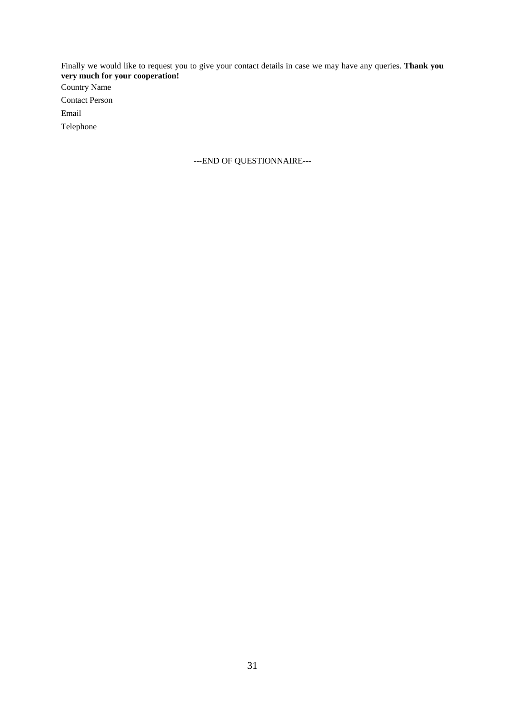Finally we would like to request you to give your contact details in case we may have any queries. **Thank you very much for your cooperation!**  Country Name Contact Person

Email

Telephone

---END OF QUESTIONNAIRE---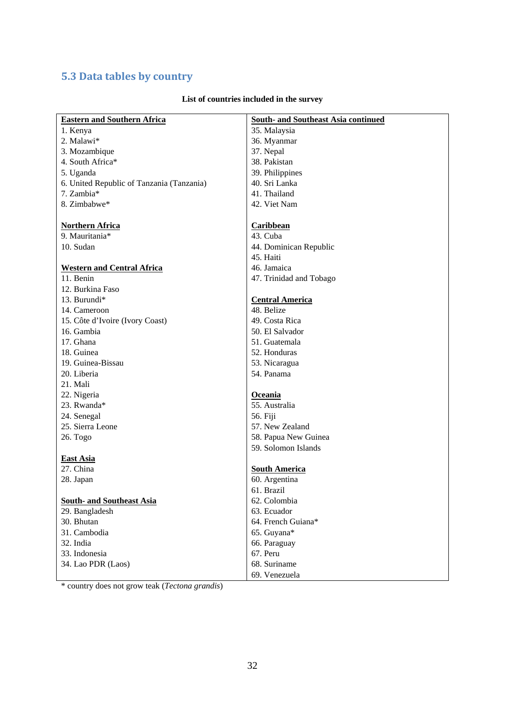# **5.3 Data tables by country**

| <b>Eastern and Southern Africa</b>        | <b>South- and Southeast Asia continued</b> |
|-------------------------------------------|--------------------------------------------|
| 1. Kenya                                  | 35. Malaysia                               |
| 2. Malawi*                                | 36. Myanmar                                |
| 3. Mozambique                             | 37. Nepal                                  |
| 4. South Africa*                          | 38. Pakistan                               |
| 5. Uganda                                 | 39. Philippines                            |
| 6. United Republic of Tanzania (Tanzania) | 40. Sri Lanka                              |
| 7. Zambia*                                | 41. Thailand                               |
| 8. Zimbabwe*                              | 42. Viet Nam                               |
|                                           |                                            |
| <b>Northern Africa</b>                    | <b>Caribbean</b>                           |
| 9. Mauritania*                            | 43. Cuba                                   |
| 10. Sudan                                 | 44. Dominican Republic                     |
|                                           | 45. Haiti                                  |
| <b>Western and Central Africa</b>         | 46. Jamaica                                |
| 11. Benin                                 | 47. Trinidad and Tobago                    |
| 12. Burkina Faso                          |                                            |
| 13. Burundi*                              | <b>Central America</b>                     |
| 14. Cameroon                              | 48. Belize                                 |
| 15. Côte d'Ivoire (Ivory Coast)           | 49. Costa Rica                             |
| 16. Gambia                                | 50. El Salvador                            |
| 17. Ghana                                 | 51. Guatemala                              |
| 18. Guinea                                | 52. Honduras                               |
| 19. Guinea-Bissau                         | 53. Nicaragua                              |
| 20. Liberia                               | 54. Panama                                 |
| 21. Mali                                  |                                            |
| 22. Nigeria                               | <b>Oceania</b>                             |
| 23. Rwanda*                               | 55. Australia                              |
| 24. Senegal                               | 56. Fiji                                   |
| 25. Sierra Leone                          | 57. New Zealand                            |
| 26. Togo                                  | 58. Papua New Guinea                       |
|                                           | 59. Solomon Islands                        |
| <b>East Asia</b>                          |                                            |
| 27. China                                 | <b>South America</b>                       |
| 28. Japan                                 | 60. Argentina                              |
|                                           | 61. Brazil                                 |
| <b>South- and Southeast Asia</b>          | 62. Colombia                               |
| 29. Bangladesh                            | 63. Ecuador                                |
| 30. Bhutan                                | 64. French Guiana*                         |
| 31. Cambodia                              | 65. Guyana*                                |
| 32. India                                 | 66. Paraguay                               |
| 33. Indonesia                             | 67. Peru                                   |
| 34. Lao PDR (Laos)                        | 68. Suriname                               |
|                                           | 69. Venezuela                              |

# **List of countries included in the survey**

\* country does not grow teak (*Tectona grandis*)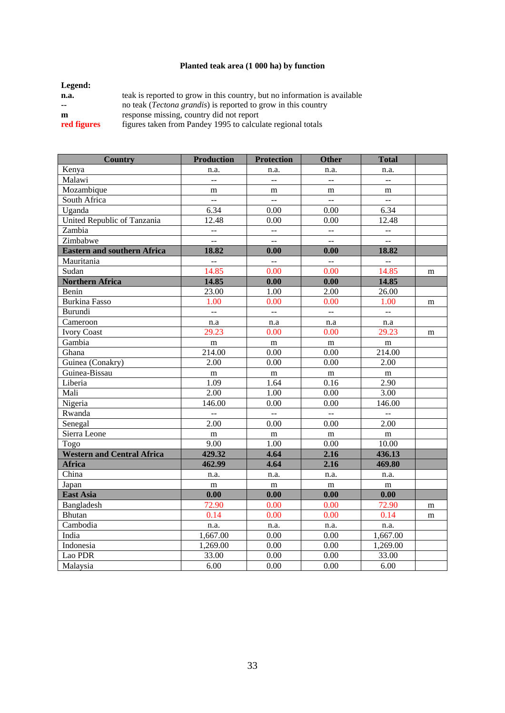# **Planted teak area (1 000 ha) by function**

| teak is reported to grow in this country, but no information is available |
|---------------------------------------------------------------------------|
| no teak ( <i>Tectona grandis</i> ) is reported to grow in this country    |
| response missing, country did not report                                  |
| figures taken from Pandey 1995 to calculate regional totals               |
|                                                                           |

| <b>Country</b>                     | <b>Production</b>    | <b>Protection</b>    | <b>Other</b>              | <b>Total</b>             |   |
|------------------------------------|----------------------|----------------------|---------------------------|--------------------------|---|
| Kenya                              | n.a.                 | n.a.                 | n.a.                      | n.a.                     |   |
| Malawi                             | $\overline{a}$       | $\overline{a}$       | Ξ.                        | $\ddot{\phantom{a}}$     |   |
| Mozambique                         | m                    | m                    | m                         | m                        |   |
| South Africa                       | $\overline{a}$       | $\mathbb{L}^{\perp}$ | Ц.                        | $\mathbb{L}_\mathbb{R}$  |   |
| Uganda                             | 6.34                 | 0.00                 | 0.00                      | 6.34                     |   |
| United Republic of Tanzania        | 12.48                | 0.00                 | 0.00                      | 12.48                    |   |
| Zambia                             | $\overline{a}$       | $\overline{a}$       | Ц.                        | 4                        |   |
| Zimbabwe                           | Ξ.                   | $\overline{a}$       | $\overline{a}$            | $\overline{a}$           |   |
| <b>Eastern and southern Africa</b> | 18.82                | 0.00                 | 0.00                      | 18.82                    |   |
| Mauritania                         | $\mathbb{L}^{\perp}$ | $\mathbb{Z}^2$       | $\mathbb{Z}^{\mathbb{Z}}$ | 4                        |   |
| Sudan                              | 14.85                | 0.00                 | 0.00                      | 14.85                    | m |
| <b>Northern Africa</b>             | 14.85                | 0.00                 | 0.00                      | 14.85                    |   |
| Benin                              | 23.00                | 1.00                 | 2.00                      | 26.00                    |   |
| <b>Burkina Fasso</b>               | 1.00                 | 0.00                 | 0.00                      | 1.00                     | m |
| Burundi                            | $\overline{a}$       | $\mathbb{L}^{\perp}$ | Ц.                        | $\overline{\phantom{a}}$ |   |
| Cameroon                           | n.a                  | n.a                  | n.a                       | n.a                      |   |
| <b>Ivory Coast</b>                 | 29.23                | 0.00                 | 0.00                      | 29.23                    | m |
| Gambia                             | m                    | m                    | m                         | m                        |   |
| Ghana                              | 214.00               | 0.00                 | 0.00                      | 214.00                   |   |
| Guinea (Conakry)                   | 2.00                 | 0.00                 | 0.00                      | 2.00                     |   |
| Guinea-Bissau                      | m                    | m                    | m                         | m                        |   |
| Liberia                            | 1.09                 | 1.64                 | 0.16                      | 2.90                     |   |
| Mali                               | 2.00                 | 1.00                 | 0.00                      | 3.00                     |   |
| Nigeria                            | 146.00               | 0.00                 | 0.00                      | 146.00                   |   |
| Rwanda                             | $\overline{a}$       | $\bar{\mathbb{L}}$   | $\overline{a}$            | $\overline{a}$           |   |
| Senegal                            | 2.00                 | 0.00                 | 0.00                      | 2.00                     |   |
| Sierra Leone                       | m                    | ${\bf m}$            | ${\bf m}$                 | ${\bf m}$                |   |
| Togo                               | 9.00                 | 1.00                 | 0.00                      | 10.00                    |   |
| <b>Western and Central Africa</b>  | 429.32               | 4.64                 | 2.16                      | 436.13                   |   |
| <b>Africa</b>                      | 462.99               | 4.64                 | 2.16                      | 469.80                   |   |
| China                              | n.a.                 | n.a.                 | n.a.                      | n.a.                     |   |
| Japan                              | m                    | m                    | m                         | m                        |   |
| <b>East Asia</b>                   | 0.00                 | 0.00                 | 0.00                      | 0.00                     |   |
| Bangladesh                         | 72.90                | 0.00                 | 0.00                      | 72.90                    | m |
| <b>Bhutan</b>                      | 0.14                 | 0.00                 | 0.00                      | 0.14                     | m |
| Cambodia                           | n.a.                 | n.a.                 | n.a.                      | n.a.                     |   |
| India                              | 1,667.00             | 0.00                 | 0.00                      | 1,667.00                 |   |
| Indonesia                          | 1,269.00             | 0.00                 | 0.00                      | 1,269.00                 |   |
| Lao PDR                            | 33.00                | 0.00                 | 0.00                      | 33.00                    |   |
| Malaysia                           | 6.00                 | 0.00                 | 0.00                      | 6.00                     |   |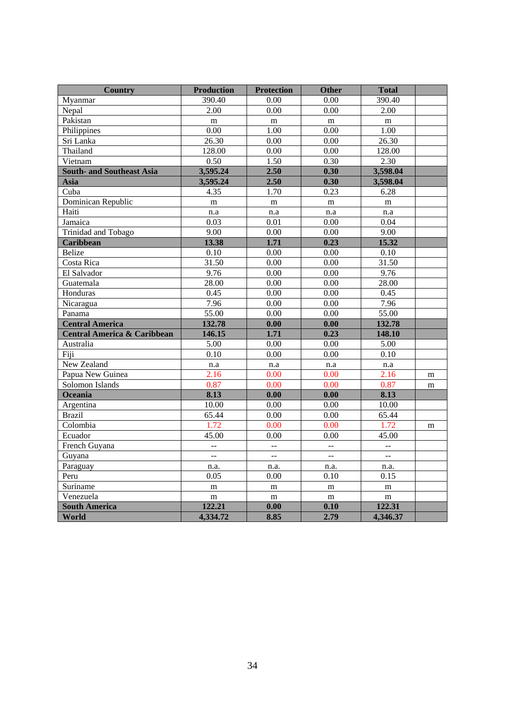| <b>Country</b>                         | <b>Production</b> | <b>Protection</b> | Other                | <b>Total</b>      |   |
|----------------------------------------|-------------------|-------------------|----------------------|-------------------|---|
| Myanmar                                | 390.40            | 0.00              | 0.00                 | 390.40            |   |
| Nepal                                  | 2.00              | 0.00              | 0.00                 | 2.00              |   |
| Pakistan                               | $\mathbf m$       | ${\rm m}$         | ${\bf m}$            | ${\bf m}$         |   |
| Philippines                            | 0.00              | 1.00              | 0.00                 | 1.00              |   |
| Sri Lanka                              | 26.30             | 0.00              | 0.00                 | 26.30             |   |
| Thailand                               | 128.00            | 0.00              | 0.00                 | 128.00            |   |
| Vietnam                                | 0.50              | 1.50              | 0.30                 | 2.30              |   |
| <b>South- and Southeast Asia</b>       | 3,595.24          | 2.50              | 0.30                 | 3,598.04          |   |
| Asia                                   | 3,595.24          | 2.50              | 0.30                 | 3,598.04          |   |
| Cuba                                   | 4.35              | 1.70              | 0.23                 | 6.28              |   |
| Dominican Republic                     | ${\bf m}$         | ${\bf m}$         | ${\bf m}$            | ${\bf m}$         |   |
| Haiti                                  | n.a               | n.a               | n.a                  | n.a               |   |
| Jamaica                                | 0.03              | 0.01              | 0.00                 | 0.04              |   |
| Trinidad and Tobago                    | 9.00              | 0.00              | 0.00                 | 9.00              |   |
| <b>Caribbean</b>                       | 13.38             | 1.71              | 0.23                 | 15.32             |   |
| <b>Belize</b>                          | 0.10              | 0.00              | 0.00                 | 0.10              |   |
| Costa Rica                             | 31.50             | 0.00              | 0.00                 | 31.50             |   |
| El Salvador                            | 9.76              | 0.00              | 0.00                 | 9.76              |   |
| Guatemala                              | 28.00             | 0.00              | 0.00                 | 28.00             |   |
| Honduras                               | 0.45              | 0.00              | 0.00                 | 0.45              |   |
| Nicaragua                              | 7.96              | 0.00              | 0.00                 | 7.96              |   |
| Panama                                 | 55.00             | 0.00              | 0.00                 | 55.00             |   |
| <b>Central America</b>                 | 132.78            | 0.00              | 0.00                 | 132.78            |   |
| <b>Central America &amp; Caribbean</b> | 146.15            | 1.71              | 0.23                 | 148.10            |   |
| Australia                              | 5.00              | 0.00              | 0.00                 | 5.00              |   |
| Fiji                                   | $\overline{0.10}$ | 0.00              | 0.00                 | $\overline{0.10}$ |   |
| New Zealand                            | n.a               | n.a               | n.a                  | n.a               |   |
| Papua New Guinea                       | 2.16              | 0.00              | 0.00                 | 2.16              | m |
| Solomon Islands                        | 0.87              | 0.00              | 0.00                 | 0.87              | m |
| Oceania                                | 8.13              | 0.00              | 0.00                 | 8.13              |   |
| Argentina                              | 10.00             | 0.00              | 0.00                 | 10.00             |   |
| <b>Brazil</b>                          | 65.44             | 0.00              | 0.00                 | 65.44             |   |
| Colombia                               | 1.72              | 0.00              | 0.00                 | 1.72              | m |
| Ecuador                                | 45.00             | 0.00              | 0.00                 | 45.00             |   |
| French Guyana                          | $\overline{a}$    | Щ,                | $\overline{a}$       | $\overline{a}$    |   |
| Guyana                                 | Ξ.                | $\overline{a}$    | $\ddot{\phantom{a}}$ | $\overline{a}$    |   |
| Paraguay                               | n.a.              | n.a.              | n.a.                 | n.a.              |   |
| Peru                                   | 0.05              | 0.00              | 0.10                 | 0.15              |   |
| Suriname                               | m                 | m                 | m                    | m                 |   |
| Venezuela                              | ${\bf m}$         | m                 | ${\bf m}$            | ${\bf m}$         |   |
| <b>South America</b>                   | 122.21            | 0.00              | 0.10                 | 122.31            |   |
| World                                  | 4,334.72          | 8.85              | 2.79                 | 4,346.37          |   |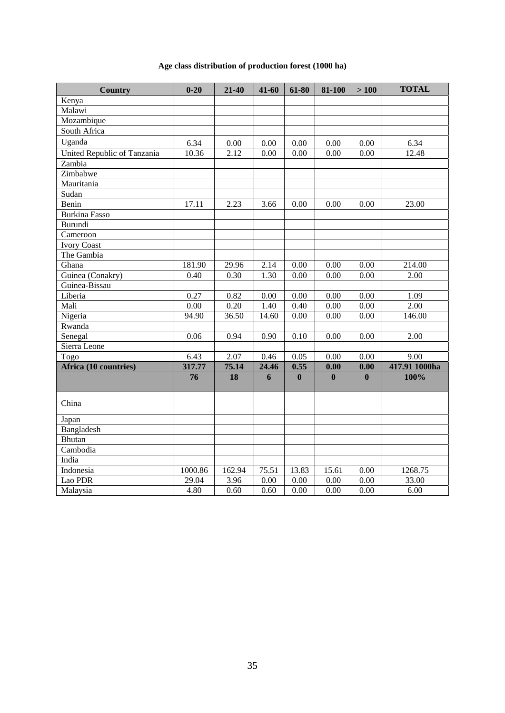# **Age class distribution of production forest (1000 ha)**

| <b>Country</b>              | $0 - 20$ | 21-40  | 41-60 | 61-80    | 81-100       | >100              | <b>TOTAL</b>  |
|-----------------------------|----------|--------|-------|----------|--------------|-------------------|---------------|
| Kenya                       |          |        |       |          |              |                   |               |
| Malawi                      |          |        |       |          |              |                   |               |
| Mozambique                  |          |        |       |          |              |                   |               |
| South Africa                |          |        |       |          |              |                   |               |
| Uganda                      | 6.34     | 0.00   | 0.00  | 0.00     | 0.00         | $0.00\,$          | 6.34          |
| United Republic of Tanzania | 10.36    | 2.12   | 0.00  | 0.00     | 0.00         | 0.00              | 12.48         |
| Zambia                      |          |        |       |          |              |                   |               |
| Zimbabwe                    |          |        |       |          |              |                   |               |
| Mauritania                  |          |        |       |          |              |                   |               |
| Sudan                       |          |        |       |          |              |                   |               |
| Benin                       | 17.11    | 2.23   | 3.66  | 0.00     | 0.00         | 0.00              | 23.00         |
| <b>Burkina Fasso</b>        |          |        |       |          |              |                   |               |
| Burundi                     |          |        |       |          |              |                   |               |
| Cameroon                    |          |        |       |          |              |                   |               |
| <b>Ivory Coast</b>          |          |        |       |          |              |                   |               |
| The Gambia                  |          |        |       |          |              |                   |               |
| Ghana                       | 181.90   | 29.96  | 2.14  | 0.00     | 0.00         | 0.00              | 214.00        |
| Guinea (Conakry)            | 0.40     | 0.30   | 1.30  | 0.00     | 0.00         | 0.00              | 2.00          |
| Guinea-Bissau               |          |        |       |          |              |                   |               |
| Liberia                     | 0.27     | 0.82   | 0.00  | 0.00     | 0.00         | 0.00              | 1.09          |
| Mali                        | 0.00     | 0.20   | 1.40  | 0.40     | 0.00         | 0.00              | 2.00          |
| Nigeria                     | 94.90    | 36.50  | 14.60 | 0.00     | 0.00         | 0.00              | 146.00        |
| Rwanda                      |          |        |       |          |              |                   |               |
| Senegal                     | 0.06     | 0.94   | 0.90  | 0.10     | 0.00         | 0.00              | 2.00          |
| Sierra Leone                |          |        |       |          |              |                   |               |
| Togo                        | 6.43     | 2.07   | 0.46  | 0.05     | 0.00         | 0.00              | 9.00          |
| Africa (10 countries)       | 317.77   | 75.14  | 24.46 | 0.55     | 0.00         | 0.00              | 417.91 1000ha |
|                             | 76       | 18     | 6     | $\bf{0}$ | $\mathbf{0}$ | $\bf{0}$          | 100%          |
|                             |          |        |       |          |              |                   |               |
| China                       |          |        |       |          |              |                   |               |
| Japan                       |          |        |       |          |              |                   |               |
| Bangladesh                  |          |        |       |          |              |                   |               |
| <b>Bhutan</b>               |          |        |       |          |              |                   |               |
| Cambodia                    |          |        |       |          |              |                   |               |
| India                       |          |        |       |          |              |                   |               |
| Indonesia                   | 1000.86  | 162.94 | 75.51 | 13.83    | 15.61        | 0.00              | 1268.75       |
| Lao PDR                     | 29.04    | 3.96   | 0.00  | 0.00     | 0.00         | 0.00              | 33.00         |
| Malaysia                    | 4.80     | 0.60   | 0.60  | $0.00\,$ | 0.00         | $\overline{0.00}$ | 6.00          |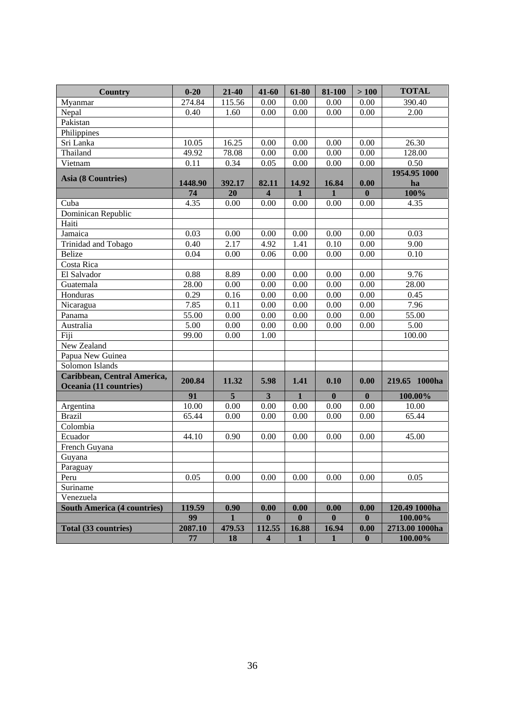| <b>Country</b>                     | $0 - 20$      | 21-40  | 41-60                   | 61-80        | 81-100       | $>100$                   | <b>TOTAL</b>   |
|------------------------------------|---------------|--------|-------------------------|--------------|--------------|--------------------------|----------------|
| Myanmar                            | 274.84        | 115.56 | 0.00                    | 0.00         | 0.00         | 0.00                     | 390.40         |
| Nepal                              | 0.40          | 1.60   | 0.00                    | 0.00         | 0.00         | 0.00                     | 2.00           |
| Pakistan                           |               |        |                         |              |              |                          |                |
| Philippines                        |               |        |                         |              |              |                          |                |
| Sri Lanka                          | 10.05         | 16.25  | 0.00                    | 0.00         | 0.00         | 0.00                     | 26.30          |
| Thailand                           | 49.92         | 78.08  | 0.00                    | 0.00         | $0.00\,$     | $0.00\,$                 | 128.00         |
| Vietnam                            | 0.11          | 0.34   | 0.05                    | $0.00\,$     | 0.00         | 0.00                     | 0.50           |
| Asia (8 Countries)                 |               |        |                         |              |              |                          | 1954.95 1000   |
|                                    | 1448.90       | 392.17 | 82.11                   | 14.92        | 16.84        | 0.00                     | ha             |
|                                    | 74            | 20     | $\overline{\mathbf{4}}$ | $\mathbf{1}$ | $\mathbf{1}$ | $\bf{0}$                 | 100%           |
| Cuba                               | 4.35          | 0.00   | 0.00                    | 0.00         | 0.00         | 0.00                     | 4.35           |
| Dominican Republic                 |               |        |                         |              |              |                          |                |
| Haiti                              |               |        |                         |              |              |                          |                |
| Jamaica                            | 0.03          | 0.00   | 0.00                    | 0.00         | 0.00         | 0.00                     | 0.03           |
| Trinidad and Tobago                | 0.40          | 2.17   | 4.92                    | 1.41         | 0.10         | 0.00                     | 9.00           |
| Belize                             | 0.04          | 0.00   | 0.06                    | 0.00         | 0.00         | 0.00                     | 0.10           |
| Costa Rica                         |               |        |                         |              |              |                          |                |
| El Salvador                        | 0.88          | 8.89   | 0.00                    | 0.00         | 0.00         | 0.00                     | 9.76           |
| Guatemala                          | 28.00         | 0.00   | 0.00                    | 0.00         | 0.00         | 0.00                     | 28.00          |
| Honduras                           | 0.29          | 0.16   | 0.00                    | 0.00         | 0.00         | 0.00                     | 0.45           |
| Nicaragua                          | 7.85          | 0.11   | 0.00                    | 0.00         | 0.00         | 0.00                     | 7.96           |
| Panama                             | 55.00         | 0.00   | 0.00                    | 0.00         | 0.00         | 0.00                     | 55.00          |
| Australia                          | 5.00          | 0.00   | 0.00                    | 0.00         | 0.00         | 0.00                     | 5.00           |
| Fiji                               | 99.00         | 0.00   | 1.00                    |              |              |                          | 100.00         |
| New Zealand                        |               |        |                         |              |              |                          |                |
| Papua New Guinea                   |               |        |                         |              |              |                          |                |
| Solomon Islands                    |               |        |                         |              |              |                          |                |
| Caribbean, Central America,        | 200.84        | 11.32  | 5.98                    | 1.41         | 0.10         | 0.00                     | 219.65 1000ha  |
| Oceania (11 countries)             |               |        |                         |              |              |                          |                |
|                                    | 91            | 5      | $\overline{\mathbf{3}}$ | $\mathbf{1}$ | $\mathbf{0}$ | $\bf{0}$                 | 100.00%        |
| Argentina                          | 10.00         | 0.00   | 0.00                    | 0.00         | 0.00         | 0.00                     | 10.00          |
| <b>Brazil</b>                      | 65.44         | 0.00   | 0.00                    | 0.00         | 0.00         | 0.00                     | 65.44          |
| Colombia                           |               |        |                         |              |              |                          |                |
| Ecuador                            | 44.10         | 0.90   | 0.00                    | 0.00         | 0.00         | 0.00                     | 45.00          |
| French Guyana                      |               |        |                         |              |              |                          |                |
| Guyana                             |               |        |                         |              |              |                          |                |
| Paraguay                           |               |        |                         |              |              |                          |                |
| Peru                               | 0.05          | 0.00   | 0.00                    | 0.00         | 0.00         | 0.00                     | 0.05           |
| Suriname                           |               |        |                         |              |              |                          |                |
| Venezuela                          |               |        |                         |              |              |                          |                |
| <b>South America (4 countries)</b> | 119.59        | 0.90   | 0.00                    | 0.00         | 0.00         | 0.00                     | 120.49 1000ha  |
|                                    | 99            | 1      | $\boldsymbol{0}$        | $\bf{0}$     | $\bf{0}$     | $\bf{0}$                 | 100.00%        |
| Total (33 countries)               | 2087.10<br>77 | 479.53 | 112.55                  | 16.88        | 16.94        | 0.00<br>$\boldsymbol{0}$ | 2713.00 1000ha |
|                                    |               | 18     | $\overline{\mathbf{4}}$ | 1            | $\mathbf{1}$ |                          | 100.00%        |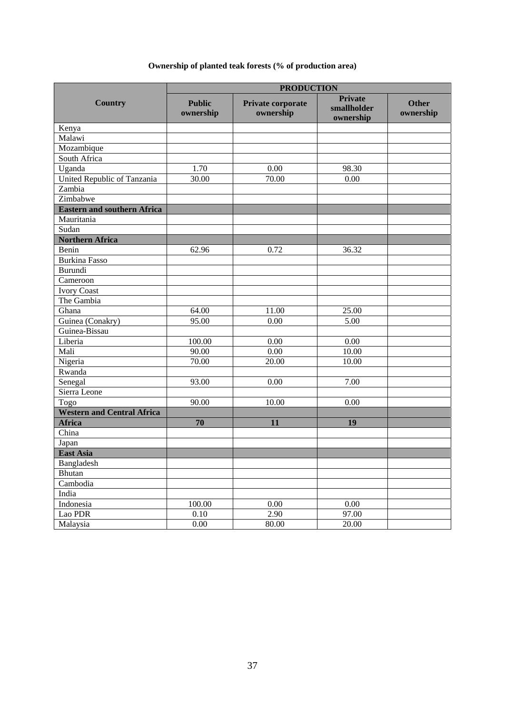# **Ownership of planted teak forests (% of production area)**

|                                    |                            |                                | <b>PRODUCTION</b>                          |                           |  |  |  |
|------------------------------------|----------------------------|--------------------------------|--------------------------------------------|---------------------------|--|--|--|
| <b>Country</b>                     | <b>Public</b><br>ownership | Private corporate<br>ownership | <b>Private</b><br>smallholder<br>ownership | <b>Other</b><br>ownership |  |  |  |
| Kenya                              |                            |                                |                                            |                           |  |  |  |
| Malawi                             |                            |                                |                                            |                           |  |  |  |
| Mozambique                         |                            |                                |                                            |                           |  |  |  |
| South Africa                       |                            |                                |                                            |                           |  |  |  |
| Uganda                             | 1.70                       | 0.00                           | 98.30                                      |                           |  |  |  |
| United Republic of Tanzania        | 30.00                      | 70.00                          | 0.00                                       |                           |  |  |  |
| Zambia                             |                            |                                |                                            |                           |  |  |  |
| Zimbabwe                           |                            |                                |                                            |                           |  |  |  |
| <b>Eastern and southern Africa</b> |                            |                                |                                            |                           |  |  |  |
| Mauritania                         |                            |                                |                                            |                           |  |  |  |
| Sudan                              |                            |                                |                                            |                           |  |  |  |
| <b>Northern Africa</b>             |                            |                                |                                            |                           |  |  |  |
| Benin                              | 62.96                      | 0.72                           | 36.32                                      |                           |  |  |  |
| <b>Burkina Fasso</b>               |                            |                                |                                            |                           |  |  |  |
| Burundi                            |                            |                                |                                            |                           |  |  |  |
| Cameroon                           |                            |                                |                                            |                           |  |  |  |
| <b>Ivory Coast</b>                 |                            |                                |                                            |                           |  |  |  |
| The Gambia                         |                            |                                |                                            |                           |  |  |  |
| Ghana                              | 64.00                      | 11.00                          | 25.00                                      |                           |  |  |  |
| Guinea (Conakry)                   | 95.00                      | 0.00                           | 5.00                                       |                           |  |  |  |
| Guinea-Bissau                      |                            |                                |                                            |                           |  |  |  |
| Liberia                            | 100.00                     | 0.00                           | 0.00                                       |                           |  |  |  |
| Mali                               | 90.00                      | 0.00                           | 10.00                                      |                           |  |  |  |
| Nigeria                            | 70.00                      | 20.00                          | 10.00                                      |                           |  |  |  |
| Rwanda                             |                            |                                |                                            |                           |  |  |  |
| Senegal                            | 93.00                      | 0.00                           | 7.00                                       |                           |  |  |  |
| Sierra Leone                       |                            |                                |                                            |                           |  |  |  |
| Togo                               | 90.00                      | 10.00                          | 0.00                                       |                           |  |  |  |
| <b>Western and Central Africa</b>  |                            |                                |                                            |                           |  |  |  |
| <b>Africa</b>                      | 70                         | 11                             | 19                                         |                           |  |  |  |
| China                              |                            |                                |                                            |                           |  |  |  |
| Japan                              |                            |                                |                                            |                           |  |  |  |
| <b>East Asia</b>                   |                            |                                |                                            |                           |  |  |  |
| Bangladesh                         |                            |                                |                                            |                           |  |  |  |
| Bhutan                             |                            |                                |                                            |                           |  |  |  |
| Cambodia                           |                            |                                |                                            |                           |  |  |  |
| India                              |                            |                                |                                            |                           |  |  |  |
| Indonesia                          | 100.00                     | 0.00                           | 0.00                                       |                           |  |  |  |
| Lao PDR                            | 0.10                       | 2.90                           | 97.00                                      |                           |  |  |  |
| Malaysia                           | 0.00                       | 80.00                          | 20.00                                      |                           |  |  |  |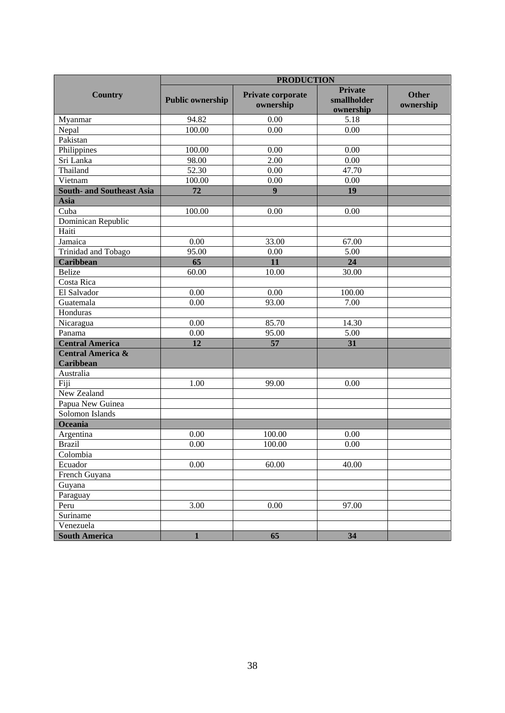|                                           | <b>PRODUCTION</b>       |                                |                                            |                           |  |  |  |
|-------------------------------------------|-------------------------|--------------------------------|--------------------------------------------|---------------------------|--|--|--|
| <b>Country</b>                            | <b>Public ownership</b> | Private corporate<br>ownership | <b>Private</b><br>smallholder<br>ownership | <b>Other</b><br>ownership |  |  |  |
| Myanmar                                   | 94.82                   | 0.00                           | 5.18                                       |                           |  |  |  |
| Nepal                                     | 100.00                  | 0.00                           | 0.00                                       |                           |  |  |  |
| Pakistan                                  |                         |                                |                                            |                           |  |  |  |
| Philippines                               | 100.00                  | 0.00                           | 0.00                                       |                           |  |  |  |
| Sri Lanka                                 | 98.00                   | 2.00                           | 0.00                                       |                           |  |  |  |
| Thailand                                  | 52.30                   | 0.00                           | 47.70                                      |                           |  |  |  |
| Vietnam                                   | 100.00                  | 0.00                           | 0.00                                       |                           |  |  |  |
| <b>South- and Southeast Asia</b>          | 72                      | 9                              | 19                                         |                           |  |  |  |
| <b>Asia</b>                               |                         |                                |                                            |                           |  |  |  |
| Cuba                                      | 100.00                  | 0.00                           | 0.00                                       |                           |  |  |  |
| Dominican Republic                        |                         |                                |                                            |                           |  |  |  |
| Haiti                                     |                         |                                |                                            |                           |  |  |  |
| Jamaica                                   | 0.00                    | 33.00                          | 67.00                                      |                           |  |  |  |
| Trinidad and Tobago                       | 95.00                   | 0.00                           | 5.00                                       |                           |  |  |  |
| <b>Caribbean</b>                          | 65                      | 11                             | 24                                         |                           |  |  |  |
| <b>Belize</b>                             | 60.00                   | 10.00                          | 30.00                                      |                           |  |  |  |
| Costa Rica                                |                         |                                |                                            |                           |  |  |  |
| El Salvador                               | 0.00                    | 0.00                           | 100.00                                     |                           |  |  |  |
| Guatemala                                 | 0.00                    | 93.00                          | 7.00                                       |                           |  |  |  |
| Honduras                                  |                         |                                |                                            |                           |  |  |  |
| Nicaragua                                 | 0.00                    | 85.70                          | 14.30                                      |                           |  |  |  |
| Panama                                    | 0.00                    | 95.00                          | 5.00                                       |                           |  |  |  |
| <b>Central America</b>                    | 12                      | 57                             | 31                                         |                           |  |  |  |
| <b>Central America &amp;</b><br>Caribbean |                         |                                |                                            |                           |  |  |  |
| Australia                                 |                         |                                |                                            |                           |  |  |  |
| Fiji                                      | 1.00                    | 99.00                          | 0.00                                       |                           |  |  |  |
| New Zealand                               |                         |                                |                                            |                           |  |  |  |
| Papua New Guinea                          |                         |                                |                                            |                           |  |  |  |
| Solomon Islands                           |                         |                                |                                            |                           |  |  |  |
| Oceania                                   |                         |                                |                                            |                           |  |  |  |
| Argentina                                 | 0.00                    | 100.00                         | 0.00                                       |                           |  |  |  |
| <b>Brazil</b>                             | 0.00                    | 100.00                         | 0.00                                       |                           |  |  |  |
| Colombia                                  |                         |                                |                                            |                           |  |  |  |
| Ecuador                                   | 0.00                    | 60.00                          | 40.00                                      |                           |  |  |  |
| French Guyana                             |                         |                                |                                            |                           |  |  |  |
| Guyana                                    |                         |                                |                                            |                           |  |  |  |
| Paraguay                                  |                         |                                |                                            |                           |  |  |  |
| Peru                                      | 3.00                    | 0.00                           | 97.00                                      |                           |  |  |  |
| Suriname                                  |                         |                                |                                            |                           |  |  |  |
| Venezuela                                 |                         |                                |                                            |                           |  |  |  |
| <b>South America</b>                      | $\mathbf{1}$            | 65                             | 34                                         |                           |  |  |  |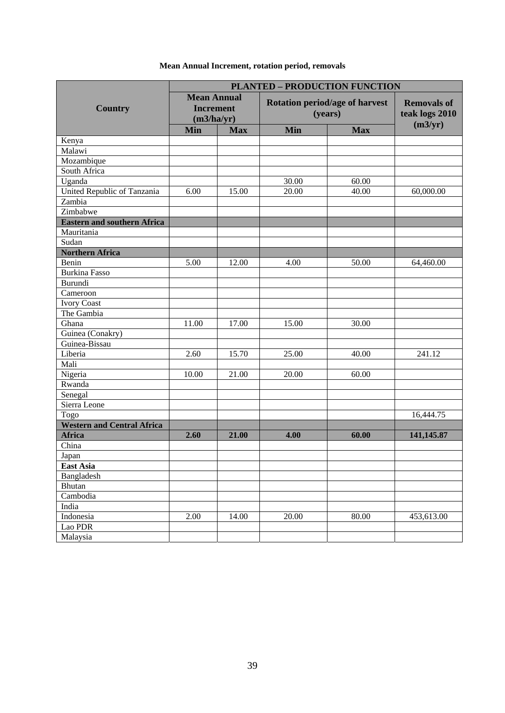|                                    | <b>PLANTED - PRODUCTION FUNCTION</b>                 |            |                                           |                                                 |            |  |  |
|------------------------------------|------------------------------------------------------|------------|-------------------------------------------|-------------------------------------------------|------------|--|--|
| <b>Country</b>                     | <b>Mean Annual</b><br><b>Increment</b><br>(m3/ha/yr) |            | Rotation period/age of harvest<br>(years) | <b>Removals of</b><br>teak logs 2010<br>(m3/yr) |            |  |  |
|                                    | Min                                                  | <b>Max</b> | Min                                       | <b>Max</b>                                      |            |  |  |
| Kenya                              |                                                      |            |                                           |                                                 |            |  |  |
| Malawi                             |                                                      |            |                                           |                                                 |            |  |  |
| Mozambique                         |                                                      |            |                                           |                                                 |            |  |  |
| South Africa                       |                                                      |            |                                           |                                                 |            |  |  |
| Uganda                             |                                                      |            | 30.00                                     | 60.00                                           |            |  |  |
| United Republic of Tanzania        | 6.00                                                 | 15.00      | 20.00                                     | 40.00                                           | 60,000.00  |  |  |
| Zambia                             |                                                      |            |                                           |                                                 |            |  |  |
| Zimbabwe                           |                                                      |            |                                           |                                                 |            |  |  |
| <b>Eastern and southern Africa</b> |                                                      |            |                                           |                                                 |            |  |  |
| Mauritania                         |                                                      |            |                                           |                                                 |            |  |  |
| Sudan                              |                                                      |            |                                           |                                                 |            |  |  |
| <b>Northern Africa</b>             |                                                      |            |                                           |                                                 |            |  |  |
| Benin                              | 5.00                                                 | 12.00      | 4.00                                      | 50.00                                           | 64,460.00  |  |  |
| <b>Burkina Fasso</b>               |                                                      |            |                                           |                                                 |            |  |  |
| <b>Burundi</b>                     |                                                      |            |                                           |                                                 |            |  |  |
| Cameroon                           |                                                      |            |                                           |                                                 |            |  |  |
| <b>Ivory Coast</b>                 |                                                      |            |                                           |                                                 |            |  |  |
| The Gambia                         |                                                      |            |                                           |                                                 |            |  |  |
| Ghana                              | 11.00                                                | 17.00      | 15.00                                     | 30.00                                           |            |  |  |
| Guinea (Conakry)                   |                                                      |            |                                           |                                                 |            |  |  |
| Guinea-Bissau                      |                                                      |            |                                           |                                                 |            |  |  |
| Liberia                            | 2.60                                                 | 15.70      | 25.00                                     | 40.00                                           | 241.12     |  |  |
| Mali                               |                                                      |            |                                           |                                                 |            |  |  |
| Nigeria                            | 10.00                                                | 21.00      | 20.00                                     | 60.00                                           |            |  |  |
| Rwanda                             |                                                      |            |                                           |                                                 |            |  |  |
| Senegal                            |                                                      |            |                                           |                                                 |            |  |  |
| Sierra Leone                       |                                                      |            |                                           |                                                 |            |  |  |
| Togo                               |                                                      |            |                                           |                                                 | 16,444.75  |  |  |
| <b>Western and Central Africa</b>  |                                                      |            |                                           |                                                 |            |  |  |
| <b>Africa</b>                      | 2.60                                                 | 21.00      | 4.00                                      | 60.00                                           | 141,145.87 |  |  |
| China                              |                                                      |            |                                           |                                                 |            |  |  |
| Japan                              |                                                      |            |                                           |                                                 |            |  |  |
| East Asia                          |                                                      |            |                                           |                                                 |            |  |  |
| Bangladesh                         |                                                      |            |                                           |                                                 |            |  |  |
| <b>Bhutan</b>                      |                                                      |            |                                           |                                                 |            |  |  |
| Cambodia                           |                                                      |            |                                           |                                                 |            |  |  |
| India                              |                                                      |            |                                           |                                                 |            |  |  |
| Indonesia                          | 2.00                                                 | 14.00      | 20.00                                     | 80.00                                           | 453,613.00 |  |  |
| Lao PDR                            |                                                      |            |                                           |                                                 |            |  |  |
| Malaysia                           |                                                      |            |                                           |                                                 |            |  |  |

# **Mean Annual Increment, rotation period, removals**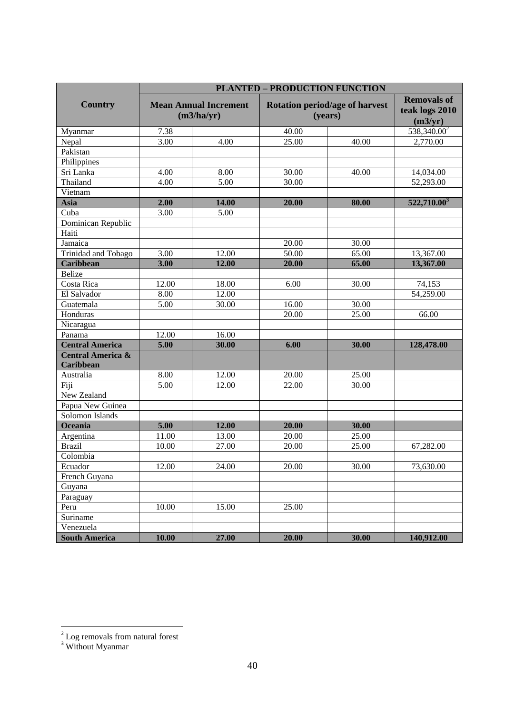|                                           |                   |                                            | <b>PLANTED - PRODUCTION FUNCTION</b>      |                                                 |                         |
|-------------------------------------------|-------------------|--------------------------------------------|-------------------------------------------|-------------------------------------------------|-------------------------|
| <b>Country</b>                            |                   | <b>Mean Annual Increment</b><br>(m3/ha/yr) | Rotation period/age of harvest<br>(years) | <b>Removals of</b><br>teak logs 2010<br>(m3/yr) |                         |
| Myanmar                                   | 7.38              |                                            | 40.00                                     |                                                 | $538,340.00^2$          |
| Nepal                                     | 3.00              | 4.00                                       | 25.00                                     | 40.00                                           | 2,770.00                |
| Pakistan                                  |                   |                                            |                                           |                                                 |                         |
| Philippines                               |                   |                                            |                                           |                                                 |                         |
| Sri Lanka                                 | 4.00              | 8.00                                       | 30.00                                     | 40.00                                           | 14,034.00               |
| Thailand                                  | 4.00              | 5.00                                       | 30.00                                     |                                                 | 52,293.00               |
| Vietnam                                   |                   |                                            |                                           |                                                 |                         |
| Asia                                      | 2.00              | 14.00                                      | 20.00                                     | 80.00                                           | 522,710.00 <sup>3</sup> |
| Cuba                                      | 3.00              | 5.00                                       |                                           |                                                 |                         |
| Dominican Republic                        |                   |                                            |                                           |                                                 |                         |
| Haiti                                     |                   |                                            |                                           |                                                 |                         |
| Jamaica                                   |                   |                                            | 20.00                                     | 30.00                                           |                         |
| Trinidad and Tobago                       | 3.00              | 12.00                                      | 50.00<br>65.00                            |                                                 | 13,367.00               |
| Caribbean                                 | 3.00              | 12.00                                      | 20.00                                     | 65.00                                           | 13,367.00               |
| <b>Belize</b>                             |                   |                                            |                                           |                                                 |                         |
| Costa Rica                                | 12.00             | 18.00                                      | 6.00                                      | 30.00                                           | 74,153                  |
| El Salvador                               | 8.00              | 12.00                                      |                                           |                                                 | 54,259.00               |
| Guatemala                                 | 5.00              | 30.00                                      | 16.00                                     | 30.00                                           |                         |
| Honduras                                  |                   |                                            | 20.00                                     | 25.00                                           | 66.00                   |
| Nicaragua                                 |                   |                                            |                                           |                                                 |                         |
| Panama                                    | 12.00             | 16.00                                      |                                           |                                                 |                         |
| <b>Central America</b>                    | 5.00              | 30.00                                      | 6.00                                      | 30.00                                           | 128,478.00              |
| <b>Central America &amp;</b><br>Caribbean |                   |                                            |                                           |                                                 |                         |
| Australia                                 | 8.00              | 12.00                                      | 20.00                                     | 25.00                                           |                         |
| Fiji                                      | $\overline{5.00}$ | 12.00                                      | 22.00                                     | 30.00                                           |                         |
| New Zealand                               |                   |                                            |                                           |                                                 |                         |
| Papua New Guinea                          |                   |                                            |                                           |                                                 |                         |
| Solomon Islands                           |                   |                                            |                                           |                                                 |                         |
| Oceania                                   | 5.00              | 12.00                                      | 20.00                                     | 30.00                                           |                         |
| Argentina                                 | 11.00             | 13.00                                      | 20.00                                     | 25.00                                           |                         |
| <b>Brazil</b>                             | 10.00             | 27.00                                      | 20.00                                     | 25.00                                           | 67,282.00               |
| Colombia                                  |                   |                                            |                                           |                                                 |                         |
| Ecuador                                   | 12.00             | 24.00                                      | 20.00                                     | 30.00                                           | 73,630.00               |
| French Guyana                             |                   |                                            |                                           |                                                 |                         |
| Guyana                                    |                   |                                            |                                           |                                                 |                         |
| Paraguay                                  |                   |                                            |                                           |                                                 |                         |
| Peru                                      | 10.00             | 15.00                                      | 25.00                                     |                                                 |                         |
| Suriname                                  |                   |                                            |                                           |                                                 |                         |
| Venezuela                                 |                   |                                            |                                           |                                                 |                         |
| <b>South America</b>                      | 10.00             | 27.00                                      | 20.00                                     | 30.00                                           | 140,912.00              |

 <sup>2</sup> Log removals from natural forest

<sup>&</sup>lt;sup>3</sup> Without Myanmar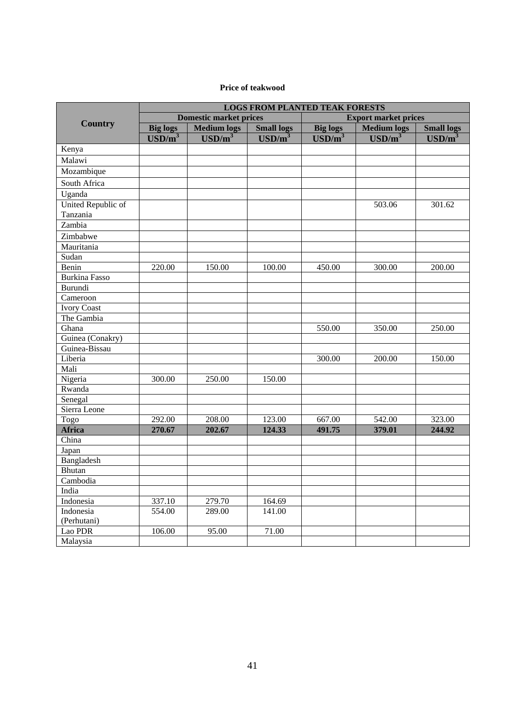#### **Price of teakwood**

|                      | <b>LOGS FROM PLANTED TEAK FORESTS</b> |                               |                             |                             |                             |                             |  |  |
|----------------------|---------------------------------------|-------------------------------|-----------------------------|-----------------------------|-----------------------------|-----------------------------|--|--|
|                      |                                       | <b>Domestic market prices</b> |                             | <b>Export market prices</b> |                             |                             |  |  |
| <b>Country</b>       | <b>Big logs</b>                       | <b>Medium</b> logs            | <b>Small logs</b>           | <b>Big logs</b>             | <b>Medium</b> logs          | <b>Small logs</b>           |  |  |
|                      | $\overline{\text{USD/m}^3}$           | $\overline{\text{USD/m}^3}$   | $\overline{\text{USD/m}^3}$ | $\overline{\text{USD/m}^3}$ | $\overline{\text{USD/m}^3}$ | $\overline{\text{USD/m}^3}$ |  |  |
| Kenya                |                                       |                               |                             |                             |                             |                             |  |  |
| Malawi               |                                       |                               |                             |                             |                             |                             |  |  |
| Mozambique           |                                       |                               |                             |                             |                             |                             |  |  |
| South Africa         |                                       |                               |                             |                             |                             |                             |  |  |
| Uganda               |                                       |                               |                             |                             |                             |                             |  |  |
| United Republic of   |                                       |                               |                             |                             | 503.06                      | 301.62                      |  |  |
| Tanzania             |                                       |                               |                             |                             |                             |                             |  |  |
| Zambia               |                                       |                               |                             |                             |                             |                             |  |  |
| Zimbabwe             |                                       |                               |                             |                             |                             |                             |  |  |
| Mauritania           |                                       |                               |                             |                             |                             |                             |  |  |
| Sudan                |                                       |                               |                             |                             |                             |                             |  |  |
| Benin                | 220.00                                | 150.00                        | 100.00                      | 450.00                      | 300.00                      | 200.00                      |  |  |
| <b>Burkina Fasso</b> |                                       |                               |                             |                             |                             |                             |  |  |
| Burundi              |                                       |                               |                             |                             |                             |                             |  |  |
| Cameroon             |                                       |                               |                             |                             |                             |                             |  |  |
| <b>Ivory Coast</b>   |                                       |                               |                             |                             |                             |                             |  |  |
| The Gambia           |                                       |                               |                             |                             |                             |                             |  |  |
| Ghana                |                                       |                               |                             | 550.00                      | 350.00                      | 250.00                      |  |  |
| Guinea (Conakry)     |                                       |                               |                             |                             |                             |                             |  |  |
| Guinea-Bissau        |                                       |                               |                             |                             |                             |                             |  |  |
| Liberia              |                                       |                               |                             | 300.00                      | 200.00                      | 150.00                      |  |  |
| Mali                 |                                       |                               |                             |                             |                             |                             |  |  |
| Nigeria              | 300.00                                | 250.00                        | 150.00                      |                             |                             |                             |  |  |
| Rwanda               |                                       |                               |                             |                             |                             |                             |  |  |
| Senegal              |                                       |                               |                             |                             |                             |                             |  |  |
| Sierra Leone         |                                       |                               |                             |                             |                             |                             |  |  |
| Togo                 | 292.00                                | 208.00                        | 123.00                      | 667.00                      | 542.00                      | 323.00                      |  |  |
| <b>Africa</b>        | 270.67                                | 202.67                        | 124.33                      | 491.75                      | 379.01                      | 244.92                      |  |  |
| China                |                                       |                               |                             |                             |                             |                             |  |  |
| Japan                |                                       |                               |                             |                             |                             |                             |  |  |
| Bangladesh           |                                       |                               |                             |                             |                             |                             |  |  |
| <b>Bhutan</b>        |                                       |                               |                             |                             |                             |                             |  |  |
| Cambodia             |                                       |                               |                             |                             |                             |                             |  |  |
| India                |                                       |                               |                             |                             |                             |                             |  |  |
| Indonesia            | 337.10                                | 279.70                        | 164.69                      |                             |                             |                             |  |  |
| Indonesia            | 554.00                                | 289.00                        | 141.00                      |                             |                             |                             |  |  |
| (Perhutani)          |                                       |                               |                             |                             |                             |                             |  |  |
| Lao PDR              | 106.00                                | 95.00                         | 71.00                       |                             |                             |                             |  |  |
| Malaysia             |                                       |                               |                             |                             |                             |                             |  |  |